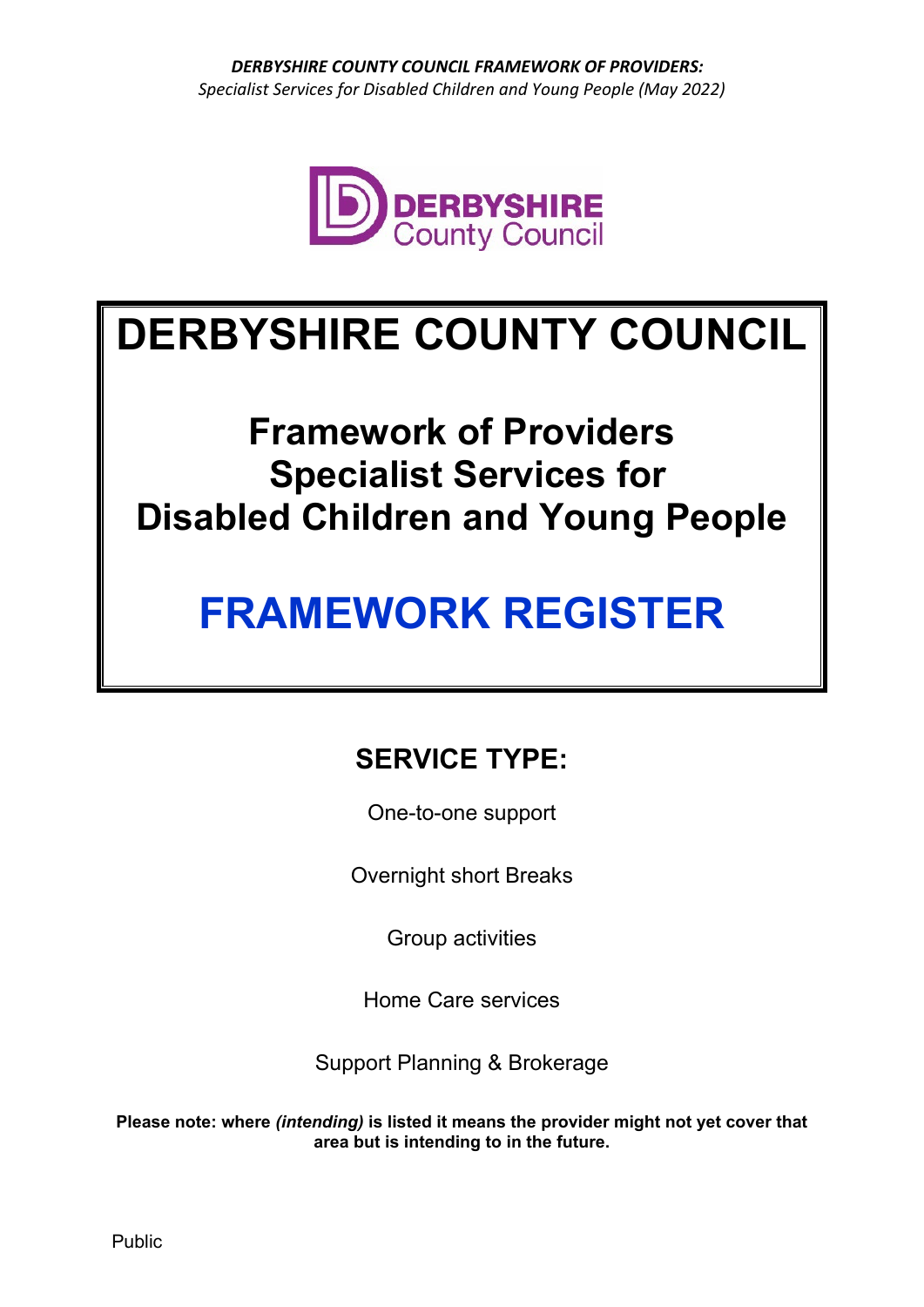

# **DERBYSHIRE COUNTY COUNCIL**

# **Framework of Providers Specialist Services for Disabled Children and Young People**

# **FRAMEWORK REGISTER**

# **SERVICE TYPE:**

One-to-one support

Overnight short Breaks

Group activities

Home Care services

Support Planning & Brokerage

**Please note: where** *(intending)* **is listed it means the provider might not yet cover that area but is intending to in the future.**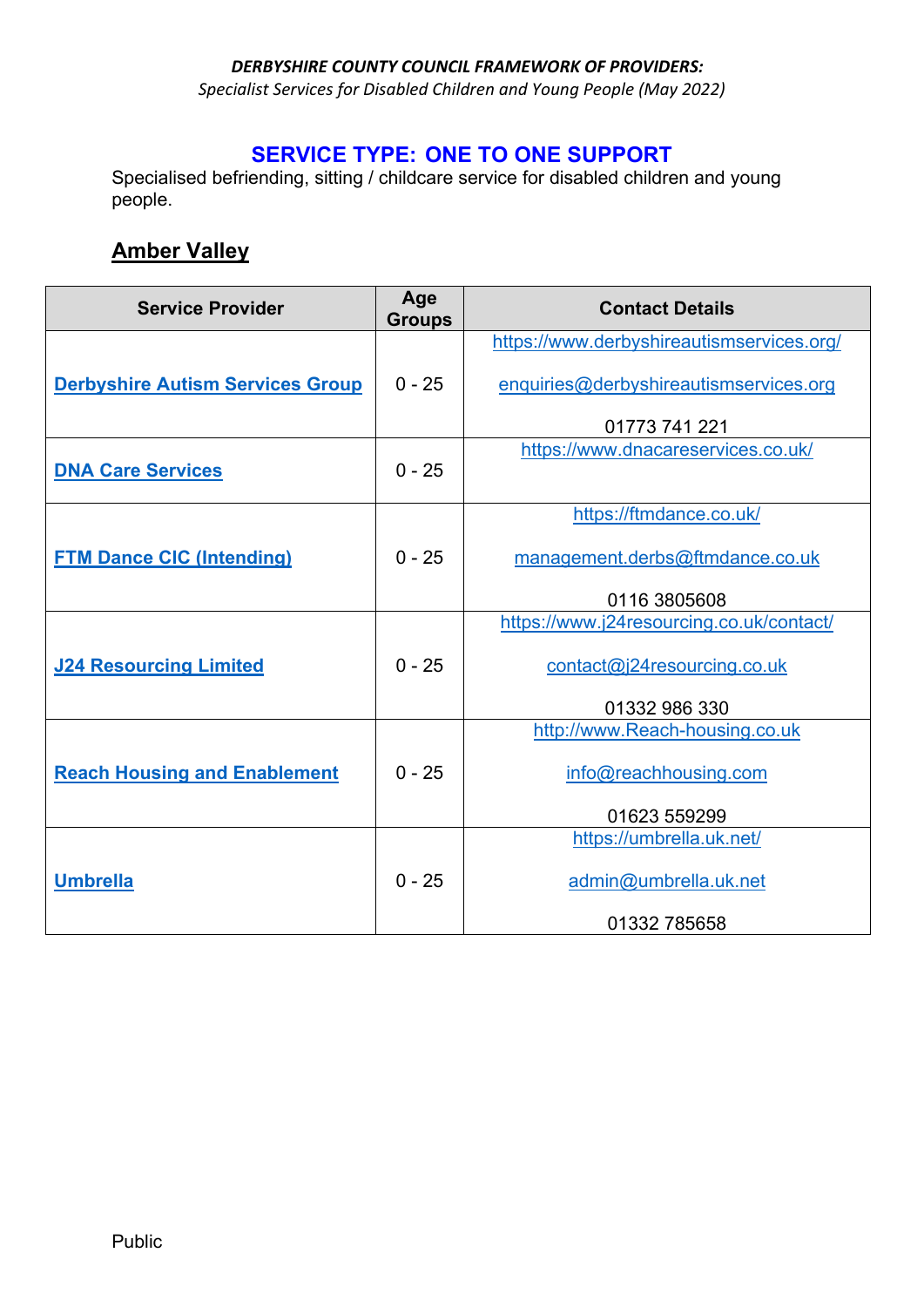*Specialist Services for Disabled Children and Young People (May 2022)* 

#### **SERVICE TYPE: ONE TO ONE SUPPORT**

Specialised befriending, sitting / childcare service for disabled children and young people.

### **Amber Valley**

| <b>Service Provider</b>                 | Age<br><b>Groups</b> | <b>Contact Details</b>                    |
|-----------------------------------------|----------------------|-------------------------------------------|
|                                         |                      | https://www.derbyshireautismservices.org/ |
| <b>Derbyshire Autism Services Group</b> | $0 - 25$             | enquiries@derbyshireautismservices.org    |
|                                         |                      | 01773 741 221                             |
| <b>DNA Care Services</b>                | $0 - 25$             | https://www.dnacareservices.co.uk/        |
|                                         |                      | https://ftmdance.co.uk/                   |
| <b>FTM Dance CIC (Intending)</b>        | $0 - 25$             | management.derbs@ftmdance.co.uk           |
|                                         |                      | 0116 3805608                              |
|                                         |                      | https://www.j24resourcing.co.uk/contact/  |
| <b>J24 Resourcing Limited</b>           | $0 - 25$             | contact@j24resourcing.co.uk               |
|                                         |                      | 01332 986 330                             |
|                                         |                      | http://www.Reach-housing.co.uk            |
| <b>Reach Housing and Enablement</b>     | $0 - 25$             | info@reachhousing.com                     |
|                                         |                      | 01623 559299                              |
|                                         |                      | https://umbrella.uk.net/                  |
| <b>Umbrella</b>                         | $0 - 25$             | admin@umbrella.uk.net                     |
|                                         |                      | 01332 785658                              |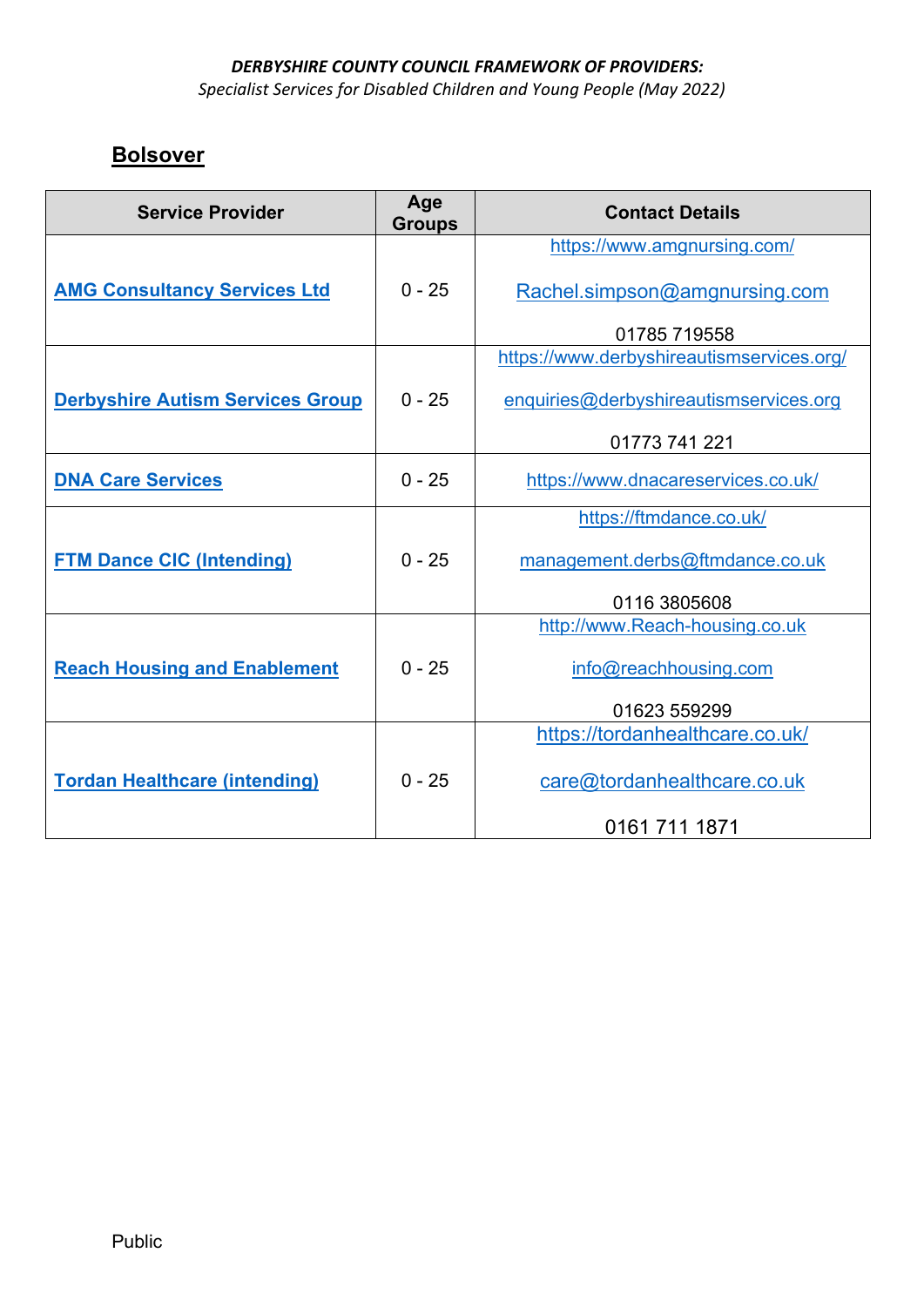*Specialist Services for Disabled Children and Young People (May 2022)* 

### **Bolsover**

| <b>Service Provider</b>                 | Age<br><b>Groups</b> | <b>Contact Details</b>                    |
|-----------------------------------------|----------------------|-------------------------------------------|
|                                         |                      | https://www.amgnursing.com/               |
| <b>AMG Consultancy Services Ltd</b>     | $0 - 25$             | Rachel.simpson@amgnursing.com             |
|                                         |                      | 01785 719558                              |
|                                         |                      | https://www.derbyshireautismservices.org/ |
| <b>Derbyshire Autism Services Group</b> | $0 - 25$             | enquiries@derbyshireautismservices.org    |
|                                         |                      | 01773 741 221                             |
| <b>DNA Care Services</b>                | $0 - 25$             | https://www.dnacareservices.co.uk/        |
|                                         |                      | https://ftmdance.co.uk/                   |
| <b>FTM Dance CIC (Intending)</b>        | $0 - 25$             | management.derbs@ftmdance.co.uk           |
|                                         |                      | 0116 3805608                              |
|                                         |                      | http://www.Reach-housing.co.uk            |
| <b>Reach Housing and Enablement</b>     | $0 - 25$             | info@reachhousing.com                     |
|                                         |                      | 01623 559299                              |
|                                         |                      | https://tordanhealthcare.co.uk/           |
| <b>Tordan Healthcare (intending)</b>    | $0 - 25$             | care@tordanhealthcare.co.uk               |
|                                         |                      | 0161 711 1871                             |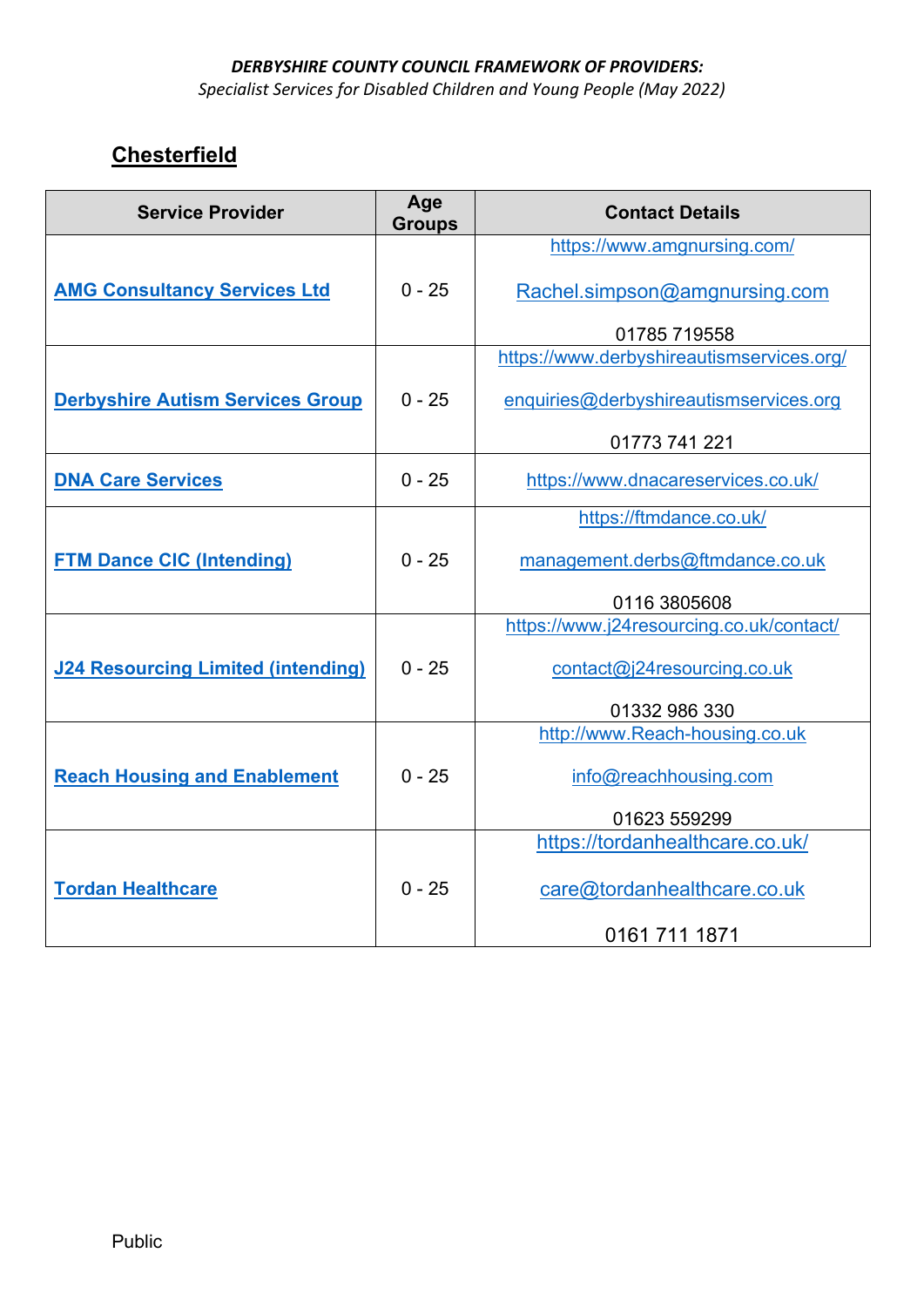*Specialist Services for Disabled Children and Young People (May 2022)* 

# **Chesterfield**

| <b>Service Provider</b>                   | Age<br><b>Groups</b> | <b>Contact Details</b>                    |
|-------------------------------------------|----------------------|-------------------------------------------|
|                                           |                      | https://www.amgnursing.com/               |
| <b>AMG Consultancy Services Ltd</b>       | $0 - 25$             | Rachel.simpson@amgnursing.com             |
|                                           |                      | 01785 719558                              |
|                                           |                      | https://www.derbyshireautismservices.org/ |
| <b>Derbyshire Autism Services Group</b>   | $0 - 25$             | enquiries@derbyshireautismservices.org    |
|                                           |                      | 01773 741 221                             |
| <b>DNA Care Services</b>                  | $0 - 25$             | https://www.dnacareservices.co.uk/        |
|                                           |                      | https://ftmdance.co.uk/                   |
| <b>FTM Dance CIC (Intending)</b>          | $0 - 25$             | management.derbs@ftmdance.co.uk           |
|                                           |                      | 0116 3805608                              |
|                                           |                      | https://www.j24resourcing.co.uk/contact/  |
| <b>J24 Resourcing Limited (intending)</b> | $0 - 25$             | contact@j24resourcing.co.uk               |
|                                           |                      | 01332 986 330                             |
|                                           |                      | http://www.Reach-housing.co.uk            |
| <b>Reach Housing and Enablement</b>       | $0 - 25$             | info@reachhousing.com                     |
|                                           |                      | 01623 559299                              |
|                                           |                      | https://tordanhealthcare.co.uk/           |
| <b>Tordan Healthcare</b>                  | $0 - 25$             | care@tordanhealthcare.co.uk               |
|                                           |                      | 0161 711 1871                             |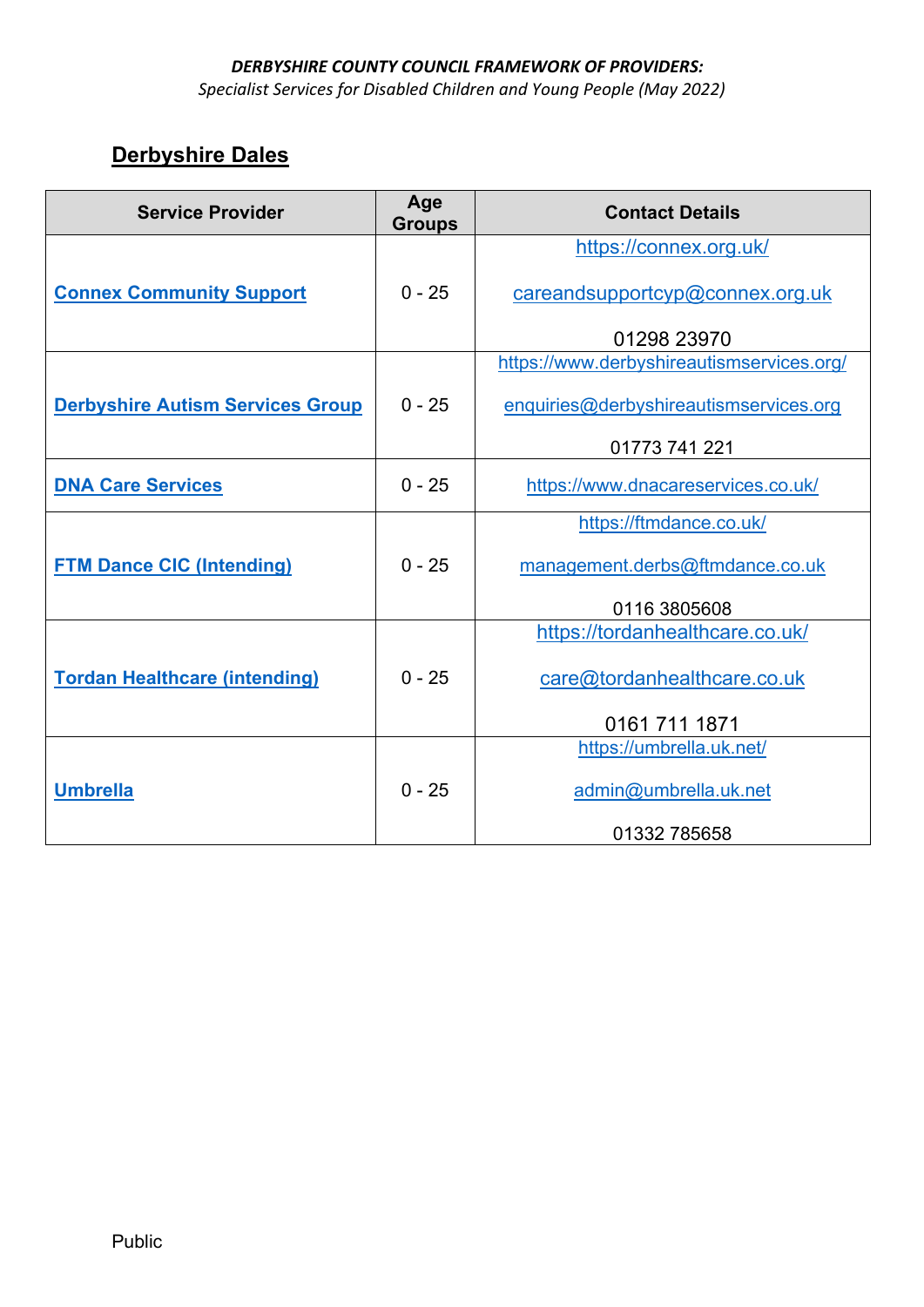*Specialist Services for Disabled Children and Young People (May 2022)* 

# **Derbyshire Dales**

| <b>Service Provider</b>                 | Age<br><b>Groups</b> | <b>Contact Details</b>                    |
|-----------------------------------------|----------------------|-------------------------------------------|
|                                         |                      | https://connex.org.uk/                    |
| <b>Connex Community Support</b>         | $0 - 25$             | careandsupportcyp@connex.org.uk           |
|                                         |                      | 01298 23970                               |
|                                         |                      | https://www.derbyshireautismservices.org/ |
| <b>Derbyshire Autism Services Group</b> | $0 - 25$             | enquiries@derbyshireautismservices.org    |
|                                         |                      | 01773 741 221                             |
| <b>DNA Care Services</b>                | $0 - 25$             | https://www.dnacareservices.co.uk/        |
|                                         |                      | https://ftmdance.co.uk/                   |
| <b>FTM Dance CIC (Intending)</b>        | $0 - 25$             | management.derbs@ftmdance.co.uk           |
|                                         |                      | 0116 3805608                              |
|                                         |                      | https://tordanhealthcare.co.uk/           |
| <b>Tordan Healthcare (intending)</b>    | $0 - 25$             | care@tordanhealthcare.co.uk               |
|                                         |                      | 0161 711 1871                             |
|                                         |                      | https://umbrella.uk.net/                  |
| <b>Umbrella</b>                         | $0 - 25$             | admin@umbrella.uk.net                     |
|                                         |                      | 01332 785658                              |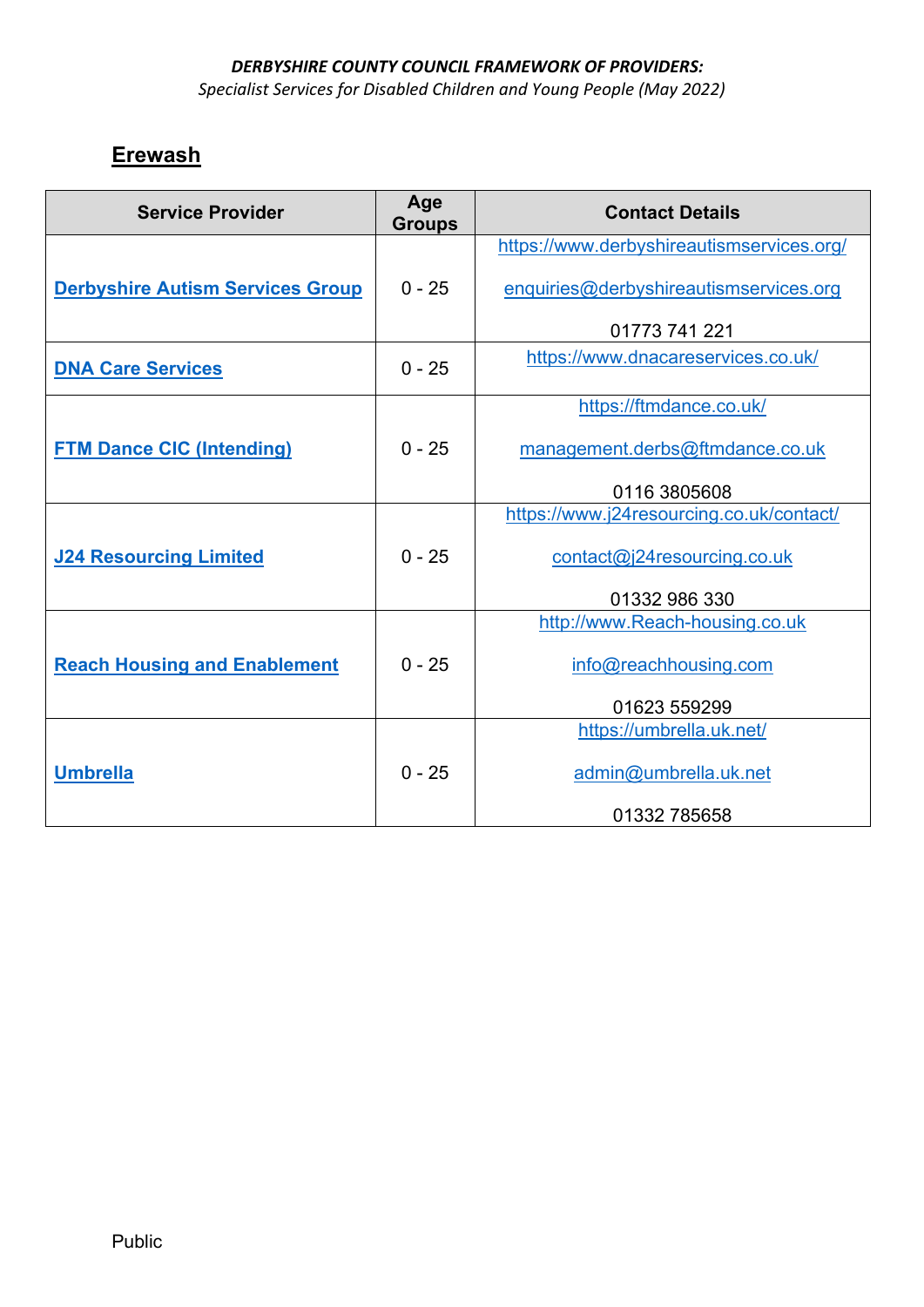*Specialist Services for Disabled Children and Young People (May 2022)* 

# **Erewash**

| <b>Service Provider</b>                 | Age<br><b>Groups</b> | <b>Contact Details</b>                    |
|-----------------------------------------|----------------------|-------------------------------------------|
|                                         |                      | https://www.derbyshireautismservices.org/ |
| <b>Derbyshire Autism Services Group</b> | $0 - 25$             | enquiries@derbyshireautismservices.org    |
|                                         |                      | 01773 741 221                             |
| <b>DNA Care Services</b>                | $0 - 25$             | https://www.dnacareservices.co.uk/        |
|                                         |                      | https://ftmdance.co.uk/                   |
| <b>FTM Dance CIC (Intending)</b>        | $0 - 25$             | management.derbs@ftmdance.co.uk           |
|                                         |                      | 0116 3805608                              |
|                                         |                      | https://www.j24resourcing.co.uk/contact/  |
| <b>J24 Resourcing Limited</b>           | $0 - 25$             | contact@j24resourcing.co.uk               |
|                                         |                      | 01332 986 330                             |
|                                         |                      | http://www.Reach-housing.co.uk            |
| <b>Reach Housing and Enablement</b>     | $0 - 25$             | info@reachhousing.com                     |
|                                         |                      | 01623 559299                              |
|                                         |                      | https://umbrella.uk.net/                  |
| <b>Umbrella</b>                         | $0 - 25$             | admin@umbrella.uk.net                     |
|                                         |                      | 01332 785658                              |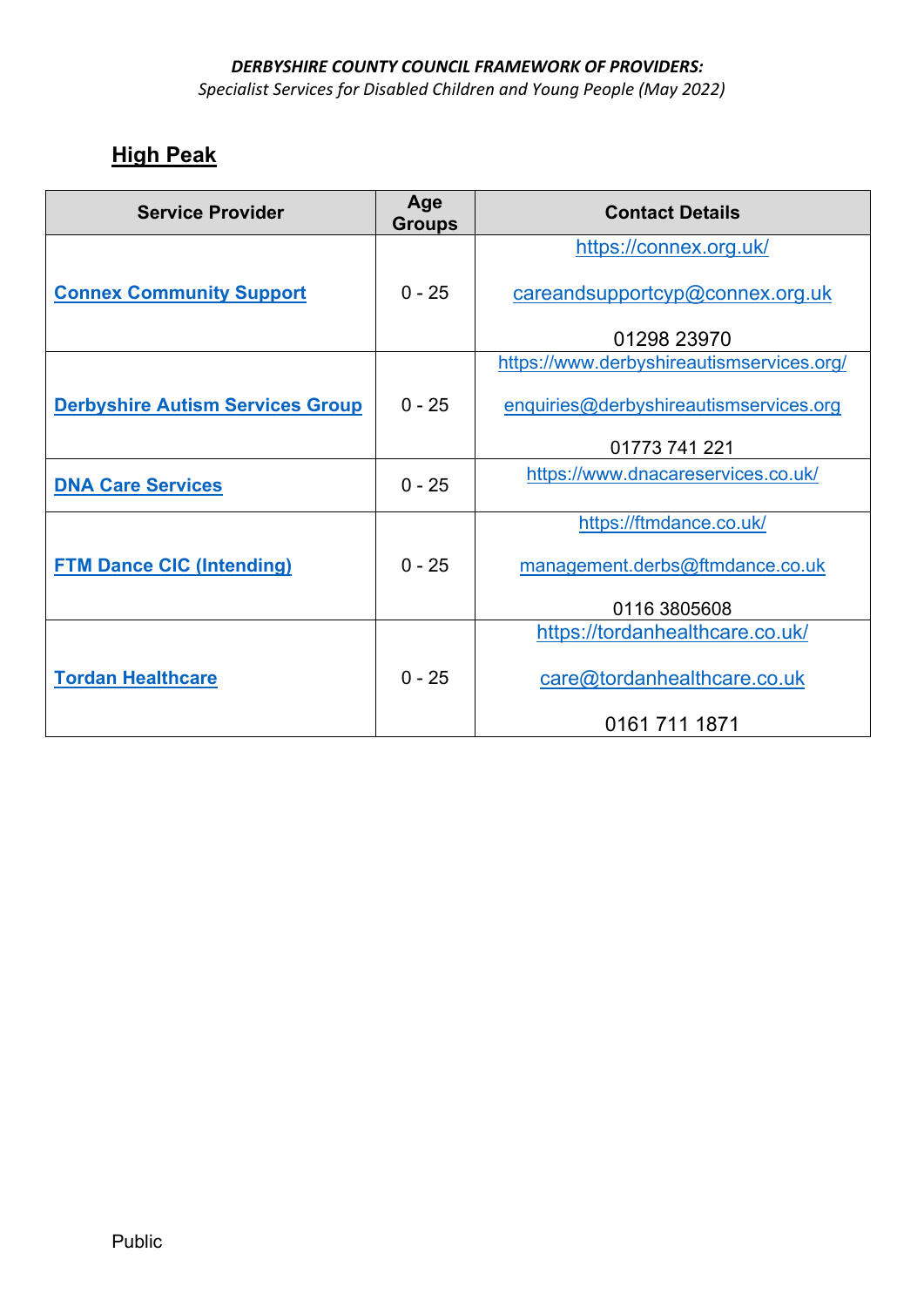*Specialist Services for Disabled Children and Young People (May 2022)* 

## **High Peak**

| <b>Service Provider</b>                 | Age<br><b>Groups</b> | <b>Contact Details</b>                    |
|-----------------------------------------|----------------------|-------------------------------------------|
|                                         |                      | https://connex.org.uk/                    |
| <b>Connex Community Support</b>         | $0 - 25$             | careandsupportcyp@connex.org.uk           |
|                                         |                      | 01298 23970                               |
|                                         |                      | https://www.derbyshireautismservices.org/ |
| <b>Derbyshire Autism Services Group</b> | $0 - 25$             | enquiries@derbyshireautismservices.org    |
|                                         |                      | 01773 741 221                             |
| <b>DNA Care Services</b>                | $0 - 25$             | https://www.dnacareservices.co.uk/        |
|                                         |                      | https://ftmdance.co.uk/                   |
| <b>FTM Dance CIC (Intending)</b>        | $0 - 25$             | management.derbs@ftmdance.co.uk           |
|                                         |                      | 0116 3805608                              |
|                                         |                      | https://tordanhealthcare.co.uk/           |
| <b>Tordan Healthcare</b>                | $0 - 25$             | care@tordanhealthcare.co.uk               |
|                                         |                      | 0161 711 1871                             |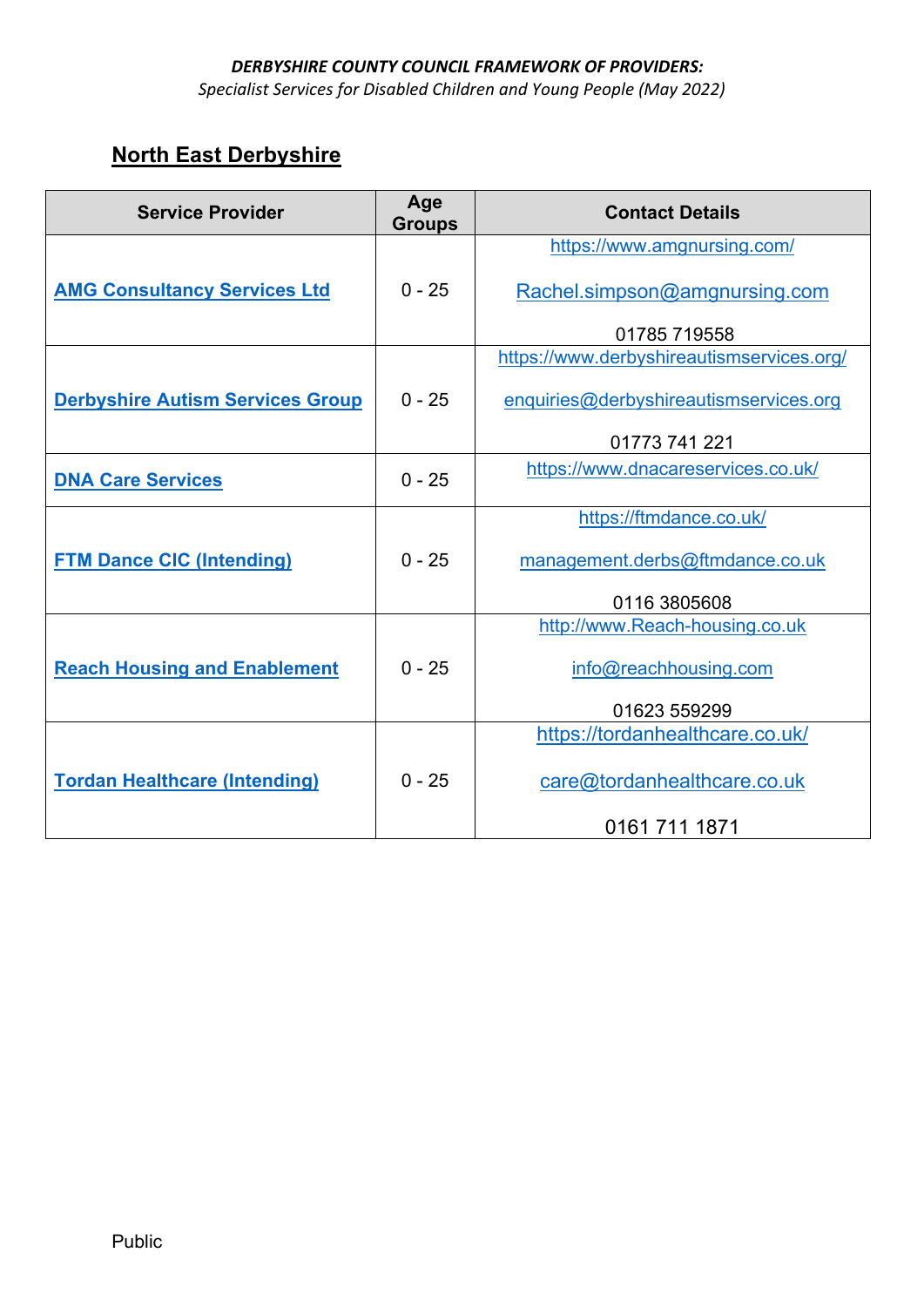*Specialist Services for Disabled Children and Young People (May 2022)* 

# **North East Derbyshire**

| <b>Service Provider</b>                 | Age<br><b>Groups</b> | <b>Contact Details</b>                    |
|-----------------------------------------|----------------------|-------------------------------------------|
|                                         |                      | https://www.amgnursing.com/               |
| <b>AMG Consultancy Services Ltd</b>     | $0 - 25$             | Rachel.simpson@amgnursing.com             |
|                                         |                      | 01785 719558                              |
|                                         |                      | https://www.derbyshireautismservices.org/ |
| <b>Derbyshire Autism Services Group</b> | $0 - 25$             | enquiries@derbyshireautismservices.org    |
|                                         |                      | 01773 741 221                             |
| <b>DNA Care Services</b>                | $0 - 25$             | https://www.dnacareservices.co.uk/        |
|                                         |                      | https://ftmdance.co.uk/                   |
| <b>FTM Dance CIC (Intending)</b>        | $0 - 25$             | management.derbs@ftmdance.co.uk           |
|                                         |                      | 0116 3805608                              |
|                                         |                      | http://www.Reach-housing.co.uk            |
| <b>Reach Housing and Enablement</b>     | $0 - 25$             | info@reachhousing.com                     |
|                                         |                      | 01623 559299                              |
|                                         |                      | https://tordanhealthcare.co.uk/           |
| <b>Tordan Healthcare (Intending)</b>    | $0 - 25$             | care@tordanhealthcare.co.uk               |
|                                         |                      | 0161 711 1871                             |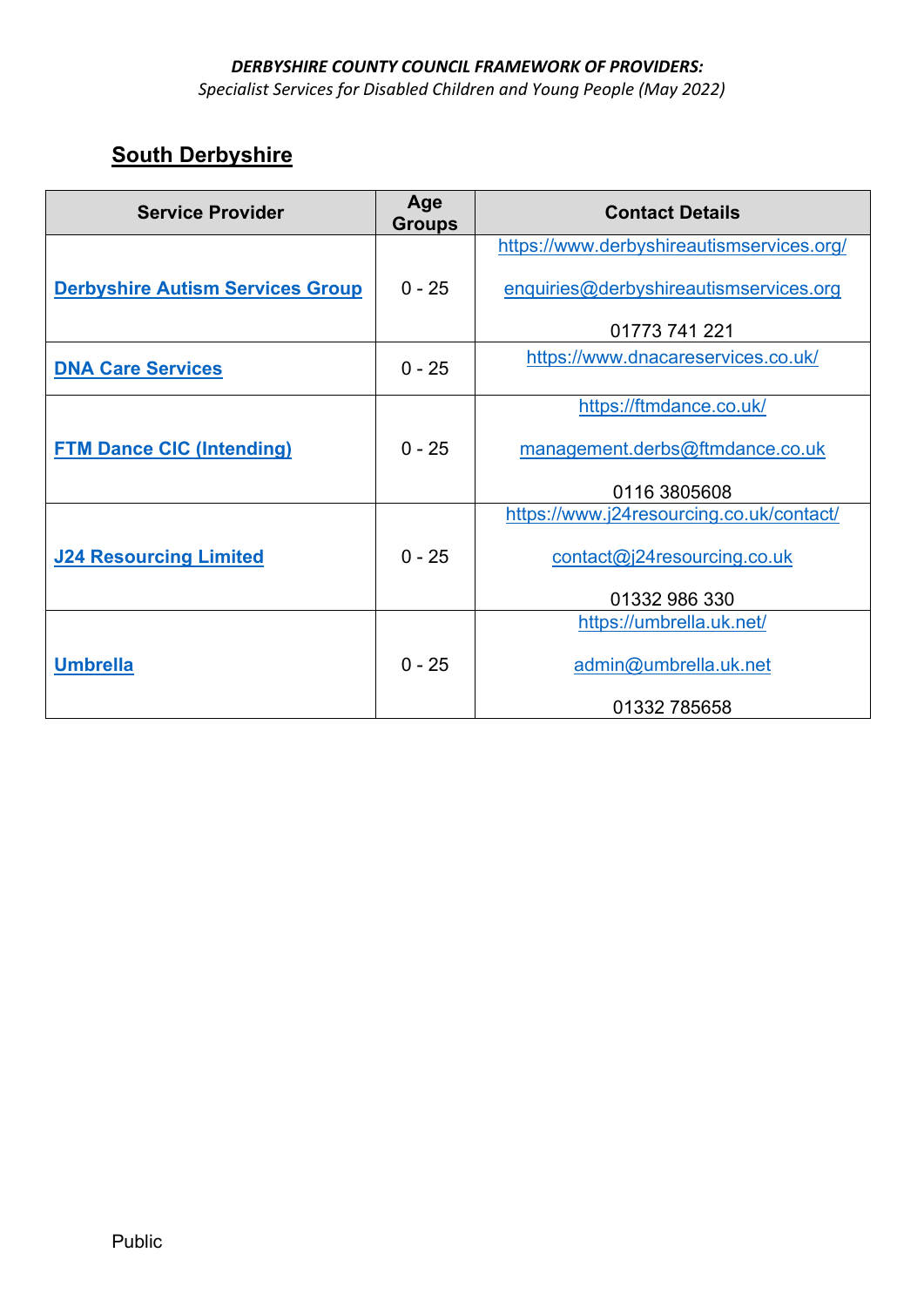*Specialist Services for Disabled Children and Young People (May 2022)* 

| <b>Service Provider</b>                 | Age<br><b>Groups</b> | <b>Contact Details</b>                    |
|-----------------------------------------|----------------------|-------------------------------------------|
|                                         |                      | https://www.derbyshireautismservices.org/ |
| <b>Derbyshire Autism Services Group</b> | $0 - 25$             | enquiries@derbyshireautismservices.org    |
|                                         |                      | 01773 741 221                             |
| <b>DNA Care Services</b>                | $0 - 25$             | https://www.dnacareservices.co.uk/        |
|                                         |                      | https://ftmdance.co.uk/                   |
| <b>FTM Dance CIC (Intending)</b>        | $0 - 25$             | management.derbs@ftmdance.co.uk           |
|                                         |                      | 0116 3805608                              |
|                                         |                      | https://www.j24resourcing.co.uk/contact/  |
| <b>J24 Resourcing Limited</b>           | $0 - 25$             | contact@j24resourcing.co.uk               |
|                                         |                      | 01332 986 330                             |
|                                         |                      | https://umbrella.uk.net/                  |
| <u>Umbrella</u>                         | $0 - 25$             | admin@umbrella.uk.net                     |
|                                         |                      | 01332 785658                              |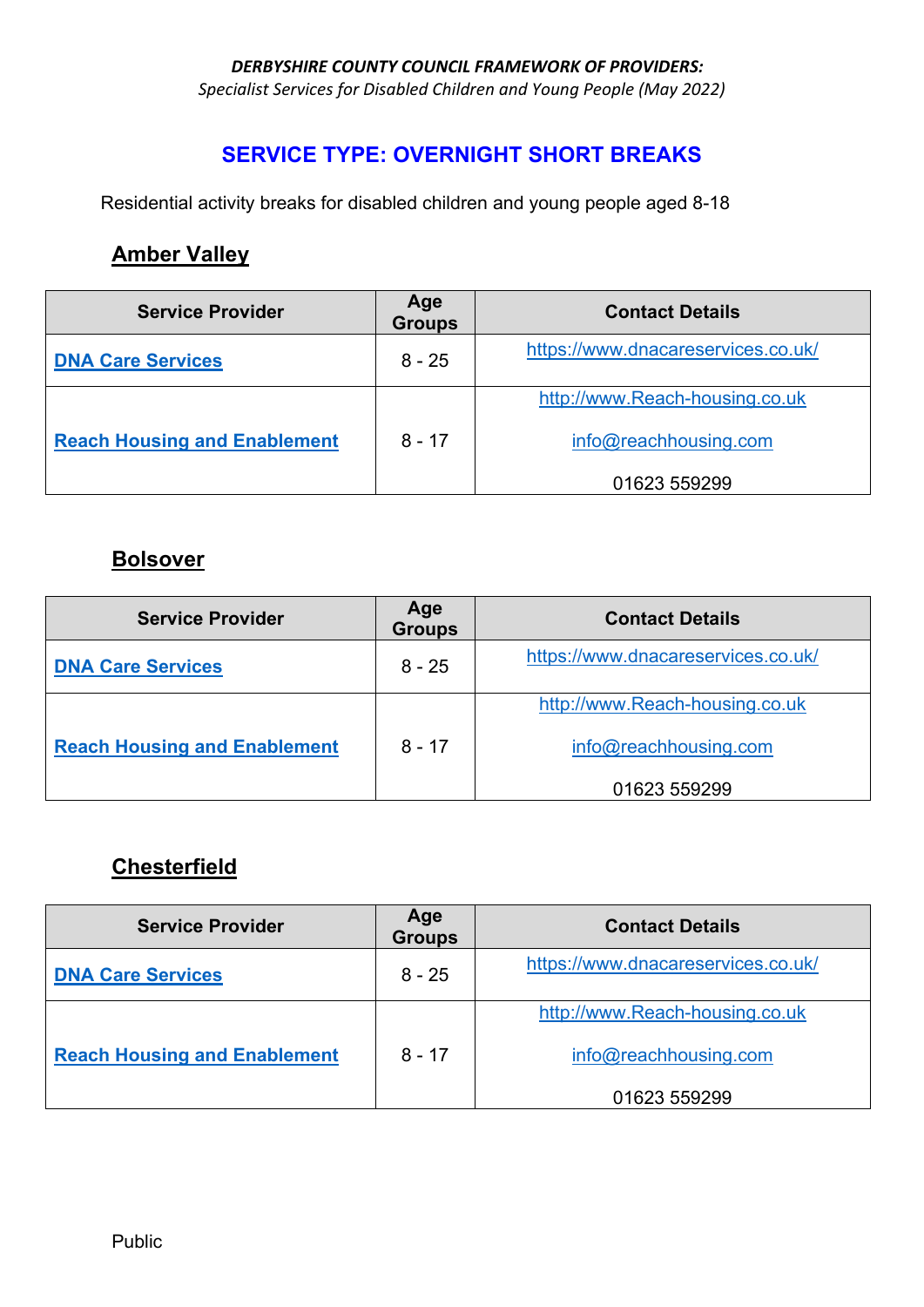*Specialist Services for Disabled Children and Young People (May 2022)* 

#### **SERVICE TYPE: OVERNIGHT SHORT BREAKS**

Residential activity breaks for disabled children and young people aged 8-18

### **Amber Valley**

| <b>Service Provider</b>             | Age<br><b>Groups</b> | <b>Contact Details</b>             |
|-------------------------------------|----------------------|------------------------------------|
| <b>DNA Care Services</b>            | $8 - 25$             | https://www.dnacareservices.co.uk/ |
|                                     |                      | http://www.Reach-housing.co.uk     |
| <b>Reach Housing and Enablement</b> | $8 - 17$             | info@reachhousing.com              |
|                                     |                      | 01623 559299                       |

### **Bolsover**

| <b>Service Provider</b>             | Age<br><b>Groups</b> | <b>Contact Details</b>             |
|-------------------------------------|----------------------|------------------------------------|
| <b>DNA Care Services</b>            | $8 - 25$             | https://www.dnacareservices.co.uk/ |
|                                     |                      | http://www.Reach-housing.co.uk     |
| <b>Reach Housing and Enablement</b> | 8 - 17               | info@reachhousing.com              |
|                                     |                      | 01623 559299                       |

#### **Chesterfield**

| <b>Service Provider</b>             | Age<br><b>Groups</b> | <b>Contact Details</b>             |
|-------------------------------------|----------------------|------------------------------------|
| <b>DNA Care Services</b>            | $8 - 25$             | https://www.dnacareservices.co.uk/ |
|                                     |                      | http://www.Reach-housing.co.uk     |
| <b>Reach Housing and Enablement</b> | 8 - 17               | info@reachhousing.com              |
|                                     |                      | 01623 559299                       |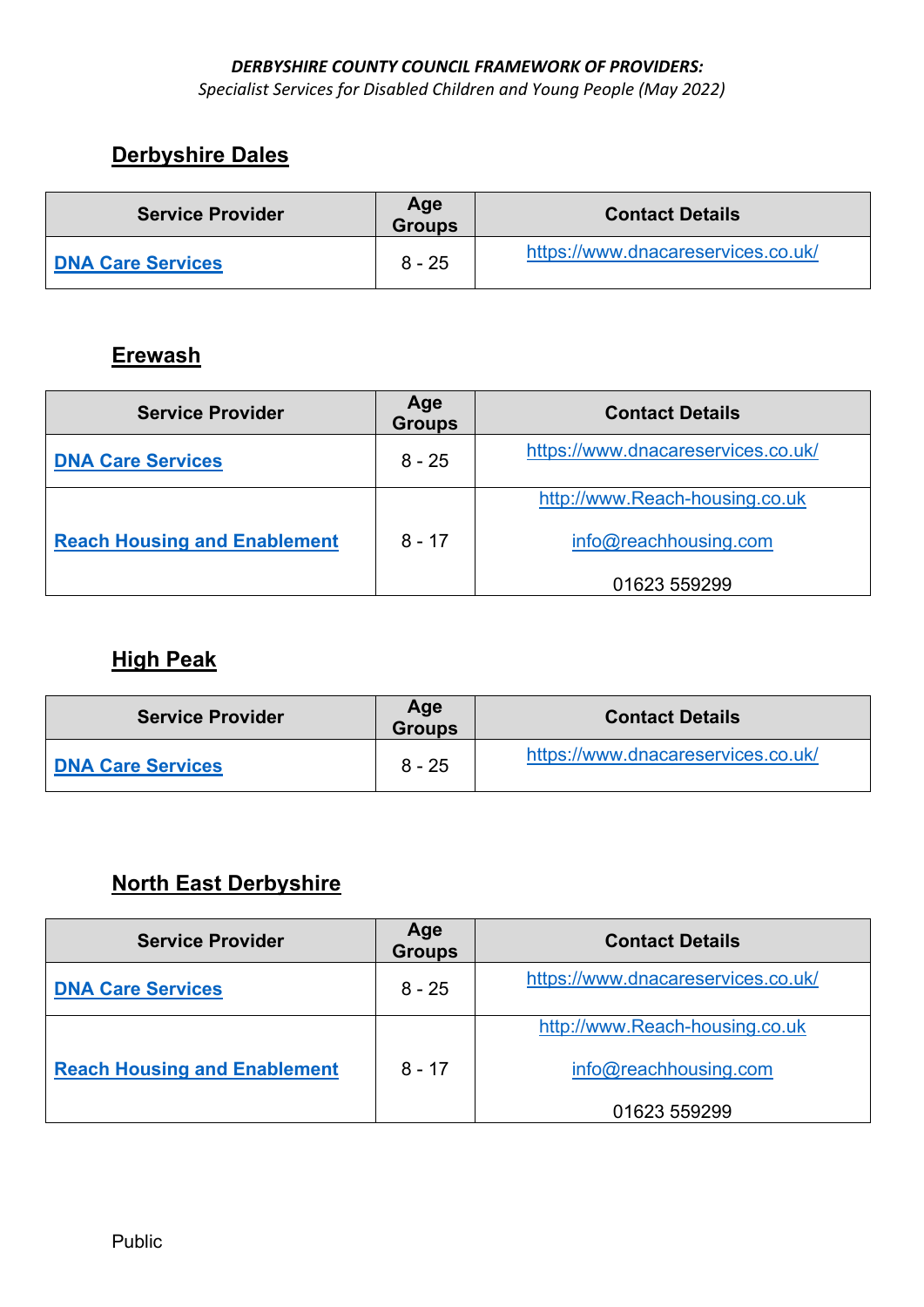*Specialist Services for Disabled Children and Young People (May 2022)* 

# **Derbyshire Dales**

| <b>Service Provider</b>  | Age<br><b>Groups</b> | <b>Contact Details</b>             |
|--------------------------|----------------------|------------------------------------|
| <b>DNA Care Services</b> | $8 - 25$             | https://www.dnacareservices.co.uk/ |

### **Erewash**

| <b>Service Provider</b>             | Age<br><b>Groups</b> | <b>Contact Details</b>             |
|-------------------------------------|----------------------|------------------------------------|
| <b>DNA Care Services</b>            | $8 - 25$             | https://www.dnacareservices.co.uk/ |
|                                     |                      | http://www.Reach-housing.co.uk     |
| <b>Reach Housing and Enablement</b> | $8 - 17$             | info@reachhousing.com              |
|                                     |                      | 01623 559299                       |

### **High Peak**

| <b>Service Provider</b>  | Age<br><b>Groups</b> | <b>Contact Details</b>             |
|--------------------------|----------------------|------------------------------------|
| <b>DNA Care Services</b> | $8 - 25$             | https://www.dnacareservices.co.uk/ |

# **North East Derbyshire**

| <b>Service Provider</b>             | Age<br><b>Groups</b> | <b>Contact Details</b>             |
|-------------------------------------|----------------------|------------------------------------|
| <b>DNA Care Services</b>            | $8 - 25$             | https://www.dnacareservices.co.uk/ |
|                                     |                      | http://www.Reach-housing.co.uk     |
| <b>Reach Housing and Enablement</b> | $8 - 17$             | info@reachhousing.com              |
|                                     |                      | 01623 559299                       |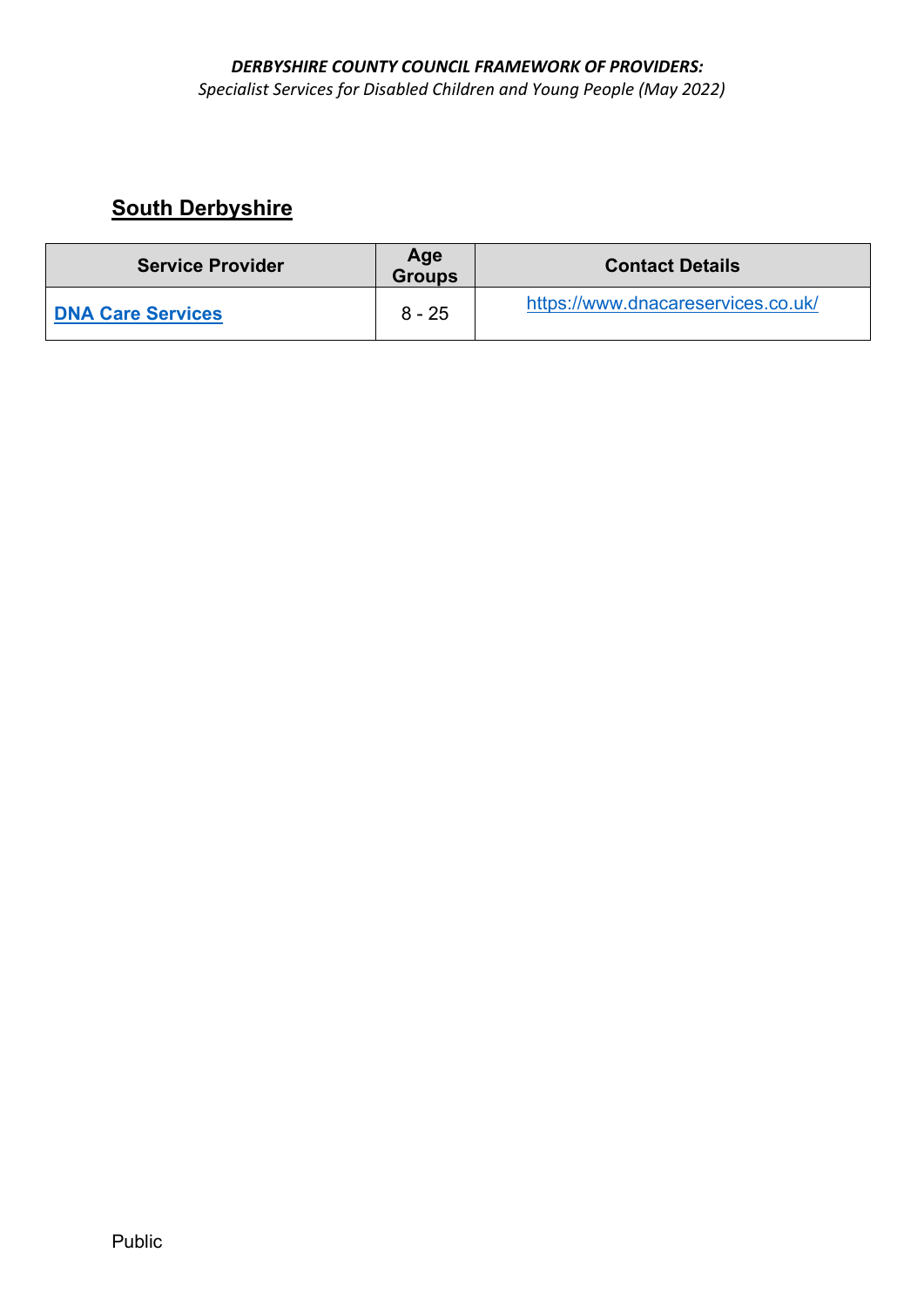*Specialist Services for Disabled Children and Young People (May 2022)* 

| <b>Service Provider</b>  | Age<br><b>Groups</b> | <b>Contact Details</b>             |
|--------------------------|----------------------|------------------------------------|
| <b>DNA Care Services</b> | $8 - 25$             | https://www.dnacareservices.co.uk/ |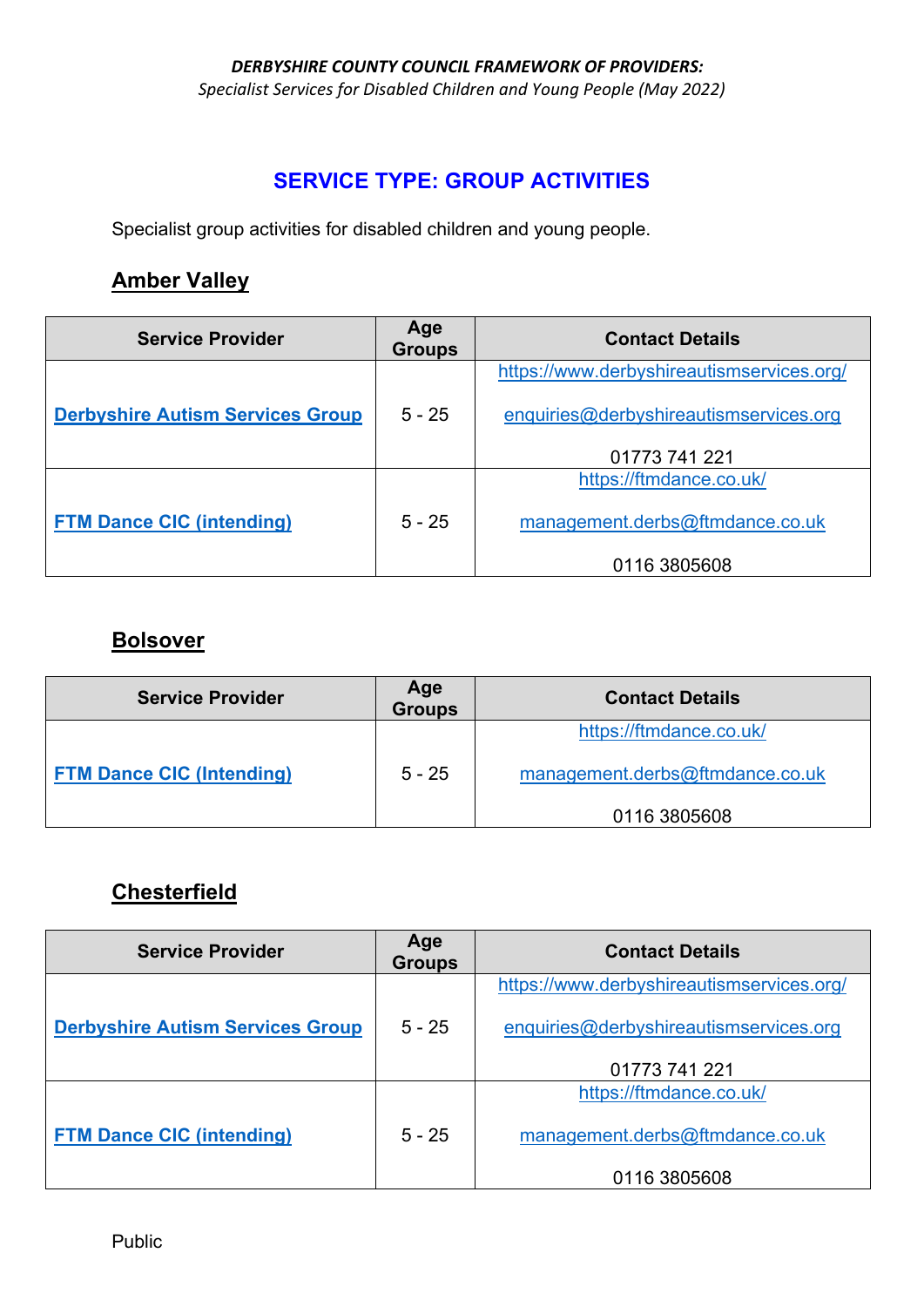*Specialist Services for Disabled Children and Young People (May 2022)* 

### **SERVICE TYPE: GROUP ACTIVITIES**

Specialist group activities for disabled children and young people.

#### **Amber Valley**

| <b>Service Provider</b>                 | Age<br><b>Groups</b> | <b>Contact Details</b>                    |
|-----------------------------------------|----------------------|-------------------------------------------|
|                                         |                      | https://www.derbyshireautismservices.org/ |
| <b>Derbyshire Autism Services Group</b> | $5 - 25$             | enquiries@derbyshireautismservices.org    |
|                                         |                      | 01773 741 221                             |
|                                         |                      | https://ftmdance.co.uk/                   |
| <b>FTM Dance CIC (intending)</b>        | $5 - 25$             | management.derbs@ftmdance.co.uk           |
|                                         |                      | 0116 3805608                              |

#### **Bolsover**

| <b>Service Provider</b>          | Age<br><b>Groups</b> | <b>Contact Details</b>          |
|----------------------------------|----------------------|---------------------------------|
|                                  |                      | https://ftmdance.co.uk/         |
| <b>FTM Dance CIC (Intending)</b> | $5 - 25$             | management.derbs@ftmdance.co.uk |
|                                  |                      | 0116 3805608                    |

### **Chesterfield**

| <b>Service Provider</b>                 | Age<br><b>Groups</b> | <b>Contact Details</b>                    |
|-----------------------------------------|----------------------|-------------------------------------------|
|                                         |                      | https://www.derbyshireautismservices.org/ |
| <b>Derbyshire Autism Services Group</b> | $5 - 25$             | enquiries@derbyshireautismservices.org    |
|                                         |                      | 01773 741 221                             |
|                                         |                      | https://ftmdance.co.uk/                   |
| <b>FTM Dance CIC (intending)</b>        | $5 - 25$             | management.derbs@ftmdance.co.uk           |
|                                         |                      | 0116 3805608                              |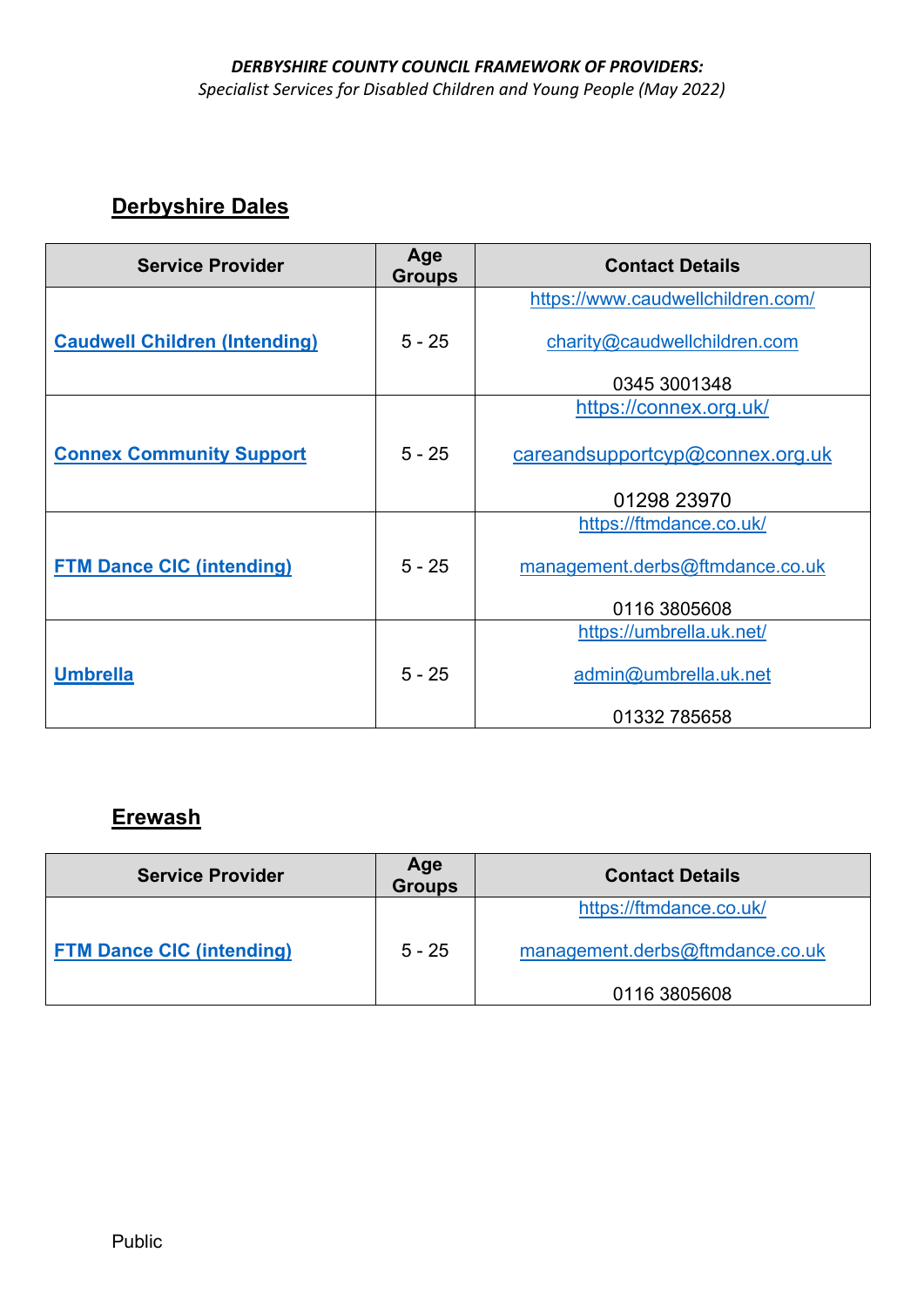*Specialist Services for Disabled Children and Young People (May 2022)* 

### **Derbyshire Dales**

| <b>Service Provider</b>              | Age<br><b>Groups</b> | <b>Contact Details</b>            |
|--------------------------------------|----------------------|-----------------------------------|
|                                      |                      | https://www.caudwellchildren.com/ |
| <b>Caudwell Children (Intending)</b> | $5 - 25$             | charity@caudwellchildren.com      |
|                                      |                      | 0345 3001348                      |
|                                      |                      | https://connex.org.uk/            |
| <b>Connex Community Support</b>      | $5 - 25$             | careandsupportcyp@connex.org.uk   |
|                                      |                      | 01298 23970                       |
|                                      |                      | https://ftmdance.co.uk/           |
| <b>FTM Dance CIC (intending)</b>     | $5 - 25$             | management.derbs@ftmdance.co.uk   |
|                                      |                      | 0116 3805608                      |
|                                      |                      | https://umbrella.uk.net/          |
| <b>Umbrella</b>                      | $5 - 25$             | admin@umbrella.uk.net             |
|                                      |                      | 01332 785658                      |

# **Erewash**

| <b>Service Provider</b>          | Age<br><b>Groups</b> | <b>Contact Details</b>          |
|----------------------------------|----------------------|---------------------------------|
|                                  |                      | https://ftmdance.co.uk/         |
| <b>FTM Dance CIC (intending)</b> | $5 - 25$             | management.derbs@ftmdance.co.uk |
|                                  |                      | 0116 3805608                    |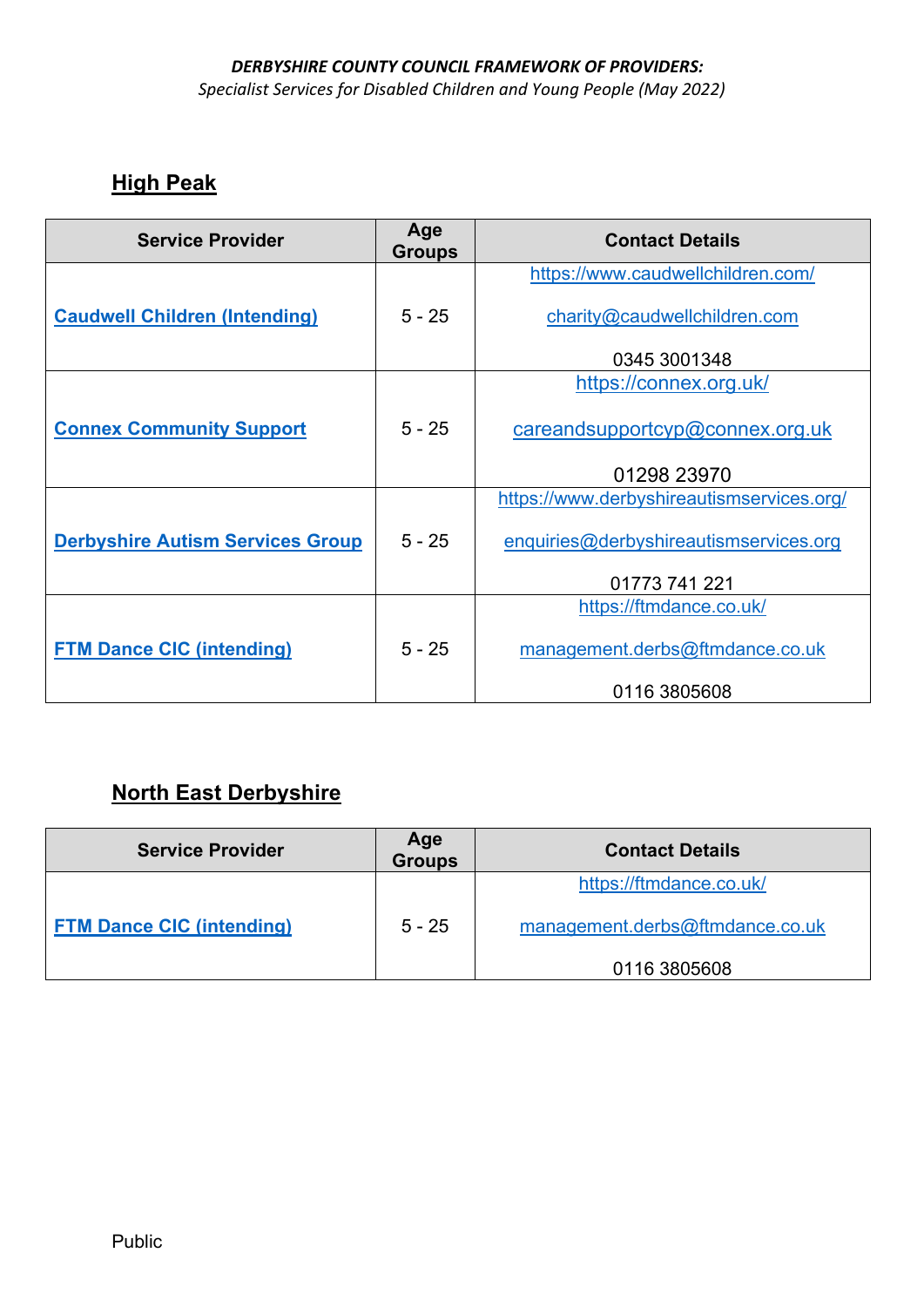*Specialist Services for Disabled Children and Young People (May 2022)* 

# **High Peak**

| <b>Service Provider</b>                 | Age<br><b>Groups</b> | <b>Contact Details</b>                    |
|-----------------------------------------|----------------------|-------------------------------------------|
|                                         |                      | https://www.caudwellchildren.com/         |
| <b>Caudwell Children (Intending)</b>    | $5 - 25$             | charity@caudwellchildren.com              |
|                                         |                      | 0345 3001348                              |
|                                         |                      | https://connex.org.uk/                    |
| <b>Connex Community Support</b>         | $5 - 25$             | careandsupportcyp@connex.org.uk           |
|                                         |                      | 01298 23970                               |
|                                         |                      | https://www.derbyshireautismservices.org/ |
| <b>Derbyshire Autism Services Group</b> | $5 - 25$             | enquiries@derbyshireautismservices.org    |
|                                         |                      | 01773 741 221                             |
|                                         |                      | https://ftmdance.co.uk/                   |
| <b>FTM Dance CIC (intending)</b>        | $5 - 25$             | management.derbs@ftmdance.co.uk           |
|                                         |                      | 0116 3805608                              |

#### **North East Derbyshire**

| <b>Service Provider</b>          | Age<br><b>Groups</b> | <b>Contact Details</b>          |
|----------------------------------|----------------------|---------------------------------|
|                                  |                      | https://ftmdance.co.uk/         |
| <b>FTM Dance CIC (intending)</b> | $5 - 25$             | management.derbs@ftmdance.co.uk |
|                                  |                      | 0116 3805608                    |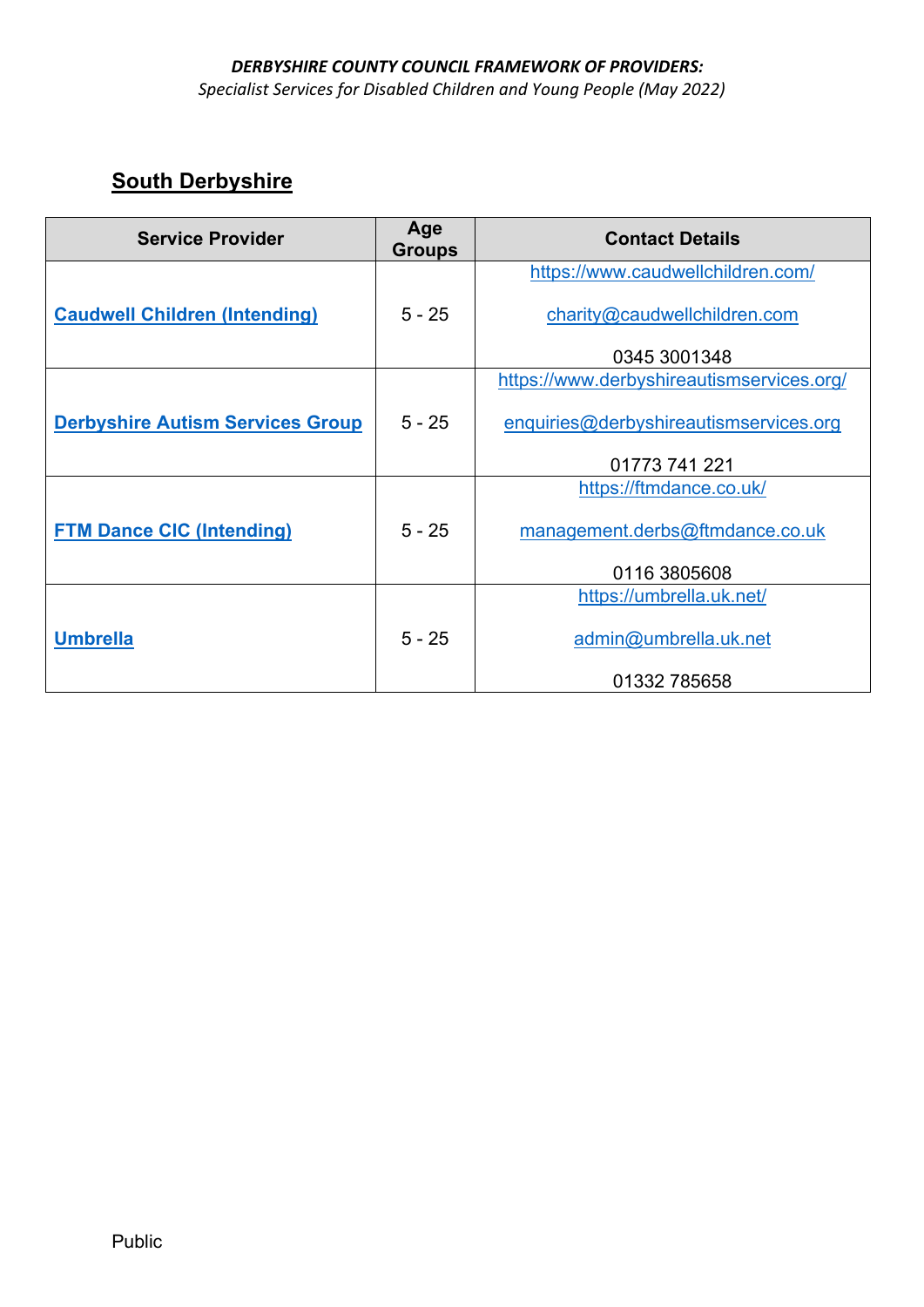#### *DERBYSHIRE COUNTY COUNCIL FRAMEWORK OF PROVIDERS: Specialist Services for Disabled Children and Young People (May 2022)*

| <b>Service Provider</b>                 | Age<br><b>Groups</b> | <b>Contact Details</b>                    |
|-----------------------------------------|----------------------|-------------------------------------------|
|                                         |                      | https://www.caudwellchildren.com/         |
| <b>Caudwell Children (Intending)</b>    | $5 - 25$             | charity@caudwellchildren.com              |
|                                         |                      | 0345 3001348                              |
|                                         |                      | https://www.derbyshireautismservices.org/ |
| <b>Derbyshire Autism Services Group</b> | $5 - 25$             | enquiries@derbyshireautismservices.org    |
|                                         |                      | 01773 741 221                             |
|                                         |                      | https://ftmdance.co.uk/                   |
| <b>FTM Dance CIC (Intending)</b>        | $5 - 25$             | management.derbs@ftmdance.co.uk           |
|                                         |                      | 0116 3805608                              |
|                                         |                      | https://umbrella.uk.net/                  |
| <b>Umbrella</b>                         | $5 - 25$             | admin@umbrella.uk.net                     |
|                                         |                      | 01332 785658                              |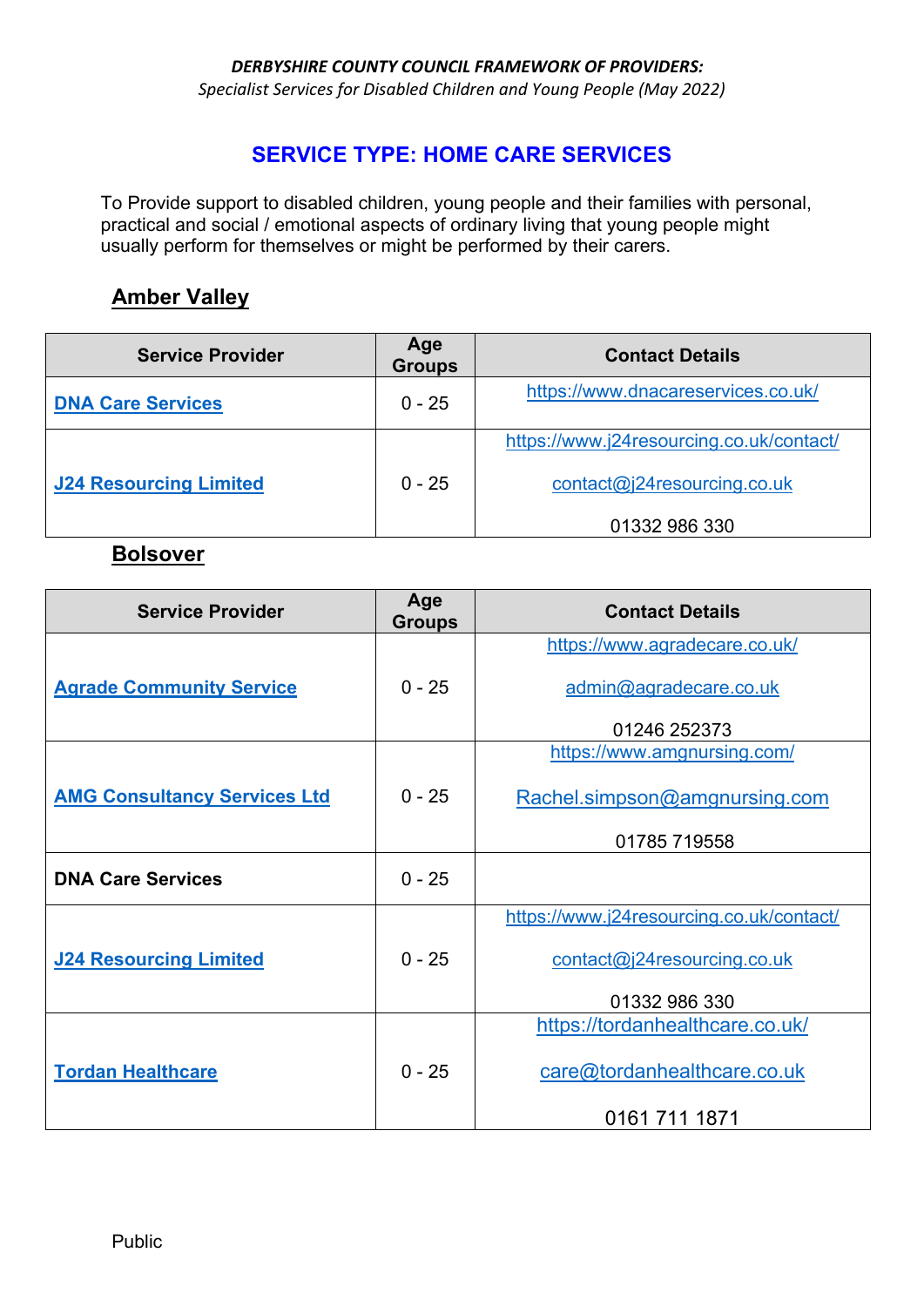*Specialist Services for Disabled Children and Young People (May 2022)* 

#### **SERVICE TYPE: HOME CARE SERVICES**

To Provide support to disabled children, young people and their families with personal, practical and social / emotional aspects of ordinary living that young people might usually perform for themselves or might be performed by their carers.

#### **Amber Valley**

| <b>Service Provider</b>       | Age<br><b>Groups</b> | <b>Contact Details</b>                   |
|-------------------------------|----------------------|------------------------------------------|
| <b>DNA Care Services</b>      | $0 - 25$             | https://www.dnacareservices.co.uk/       |
|                               |                      | https://www.j24resourcing.co.uk/contact/ |
| <b>J24 Resourcing Limited</b> | $0 - 25$             | contact@j24resourcing.co.uk              |
|                               |                      | 01332 986 330                            |

#### **Bolsover**

| <b>Service Provider</b>             | Age<br><b>Groups</b> | <b>Contact Details</b>                   |
|-------------------------------------|----------------------|------------------------------------------|
|                                     |                      | https://www.agradecare.co.uk/            |
| <b>Agrade Community Service</b>     | $0 - 25$             | admin@agradecare.co.uk                   |
|                                     |                      | 01246 252373                             |
|                                     |                      | https://www.amgnursing.com/              |
| <b>AMG Consultancy Services Ltd</b> | $0 - 25$             | Rachel.simpson@amgnursing.com            |
|                                     |                      | 01785 719558                             |
| <b>DNA Care Services</b>            | $0 - 25$             |                                          |
|                                     |                      | https://www.j24resourcing.co.uk/contact/ |
| <b>J24 Resourcing Limited</b>       | $0 - 25$             | contact@j24resourcing.co.uk              |
|                                     |                      | 01332 986 330                            |
|                                     |                      | https://tordanhealthcare.co.uk/          |
| <b>Tordan Healthcare</b>            | $0 - 25$             | care@tordanhealthcare.co.uk              |
|                                     |                      | 0161 711 1871                            |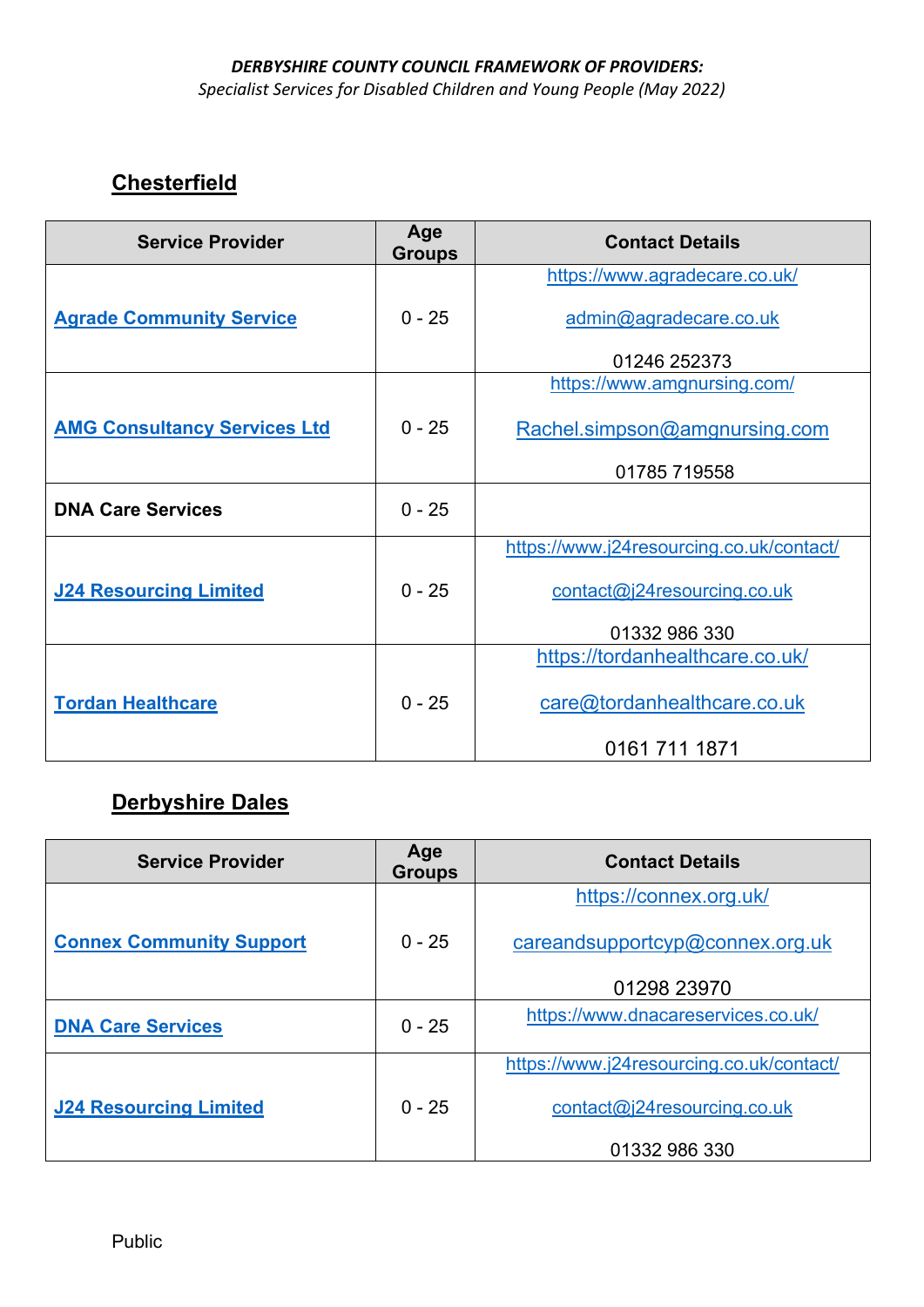*Specialist Services for Disabled Children and Young People (May 2022)* 

# **Chesterfield**

| <b>Service Provider</b>             | Age<br><b>Groups</b> | <b>Contact Details</b>                   |
|-------------------------------------|----------------------|------------------------------------------|
|                                     |                      | https://www.agradecare.co.uk/            |
| <b>Agrade Community Service</b>     | $0 - 25$             | admin@agradecare.co.uk                   |
|                                     |                      | 01246 252373                             |
|                                     |                      | https://www.amgnursing.com/              |
| <b>AMG Consultancy Services Ltd</b> | $0 - 25$             | Rachel.simpson@amgnursing.com            |
|                                     |                      | 01785 719558                             |
| <b>DNA Care Services</b>            | $0 - 25$             |                                          |
|                                     |                      | https://www.j24resourcing.co.uk/contact/ |
| <b>J24 Resourcing Limited</b>       | $0 - 25$             | contact@j24resourcing.co.uk              |
|                                     |                      | 01332 986 330                            |
|                                     |                      | https://tordanhealthcare.co.uk/          |
| <b>Tordan Healthcare</b>            | $0 - 25$             | care@tordanhealthcare.co.uk              |
|                                     |                      | 0161 711 1871                            |

# **Derbyshire Dales**

| <b>Service Provider</b>         | Age<br><b>Groups</b> | <b>Contact Details</b>                   |
|---------------------------------|----------------------|------------------------------------------|
|                                 |                      | https://connex.org.uk/                   |
| <b>Connex Community Support</b> | $0 - 25$             | careandsupportcyp@connex.org.uk          |
|                                 |                      | 01298 23970                              |
| <b>DNA Care Services</b>        | $0 - 25$             | https://www.dnacareservices.co.uk/       |
|                                 |                      | https://www.j24resourcing.co.uk/contact/ |
| <b>J24 Resourcing Limited</b>   | $0 - 25$             | contact@j24resourcing.co.uk              |
|                                 |                      | 01332 986 330                            |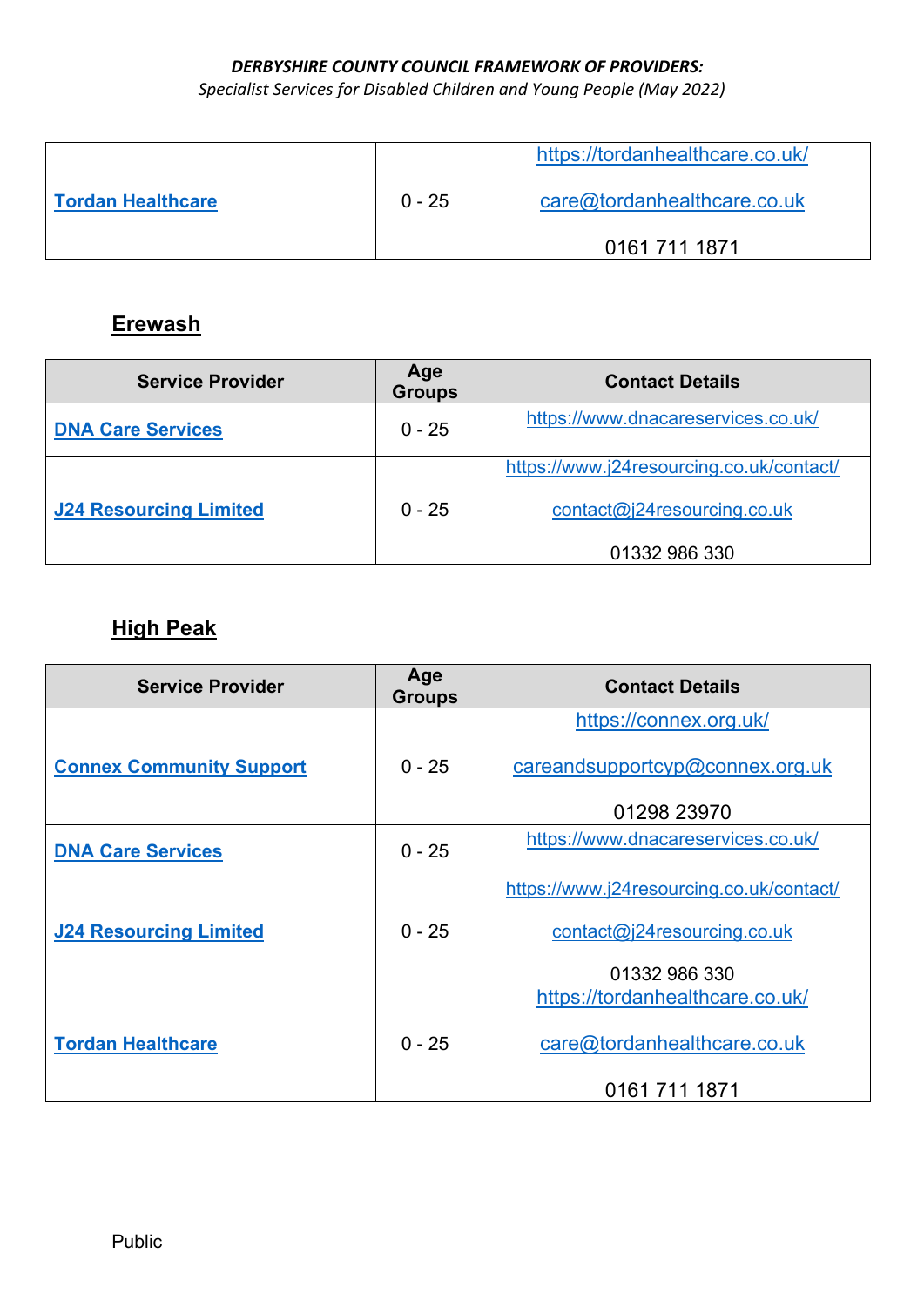*Specialist Services for Disabled Children and Young People (May 2022)* 

|                          |          | https://tordanhealthcare.co.uk/ |
|--------------------------|----------|---------------------------------|
| <b>Tordan Healthcare</b> | $0 - 25$ | care@tordanhealthcare.co.uk     |
|                          |          | 0161 711 1871                   |

# **Erewash**

| <b>Service Provider</b>       | Age<br><b>Groups</b> | <b>Contact Details</b>                   |
|-------------------------------|----------------------|------------------------------------------|
| <b>DNA Care Services</b>      | $0 - 25$             | https://www.dnacareservices.co.uk/       |
|                               |                      | https://www.j24resourcing.co.uk/contact/ |
| <b>J24 Resourcing Limited</b> | $0 - 25$             | contact@j24resourcing.co.uk              |
|                               |                      | 01332 986 330                            |

# **High Peak**

| <b>Service Provider</b>         | Age<br><b>Groups</b> | <b>Contact Details</b>                   |
|---------------------------------|----------------------|------------------------------------------|
|                                 |                      | https://connex.org.uk/                   |
| <b>Connex Community Support</b> | $0 - 25$             | careandsupportcyp@connex.org.uk          |
|                                 |                      | 01298 23970                              |
| <b>DNA Care Services</b>        | $0 - 25$             | https://www.dnacareservices.co.uk/       |
|                                 |                      | https://www.j24resourcing.co.uk/contact/ |
| <b>J24 Resourcing Limited</b>   | $0 - 25$             | contact@j24resourcing.co.uk              |
|                                 |                      | 01332 986 330                            |
|                                 |                      | https://tordanhealthcare.co.uk/          |
| <b>Tordan Healthcare</b>        | $0 - 25$             | care@tordanhealthcare.co.uk              |
|                                 |                      | 0161 711 1871                            |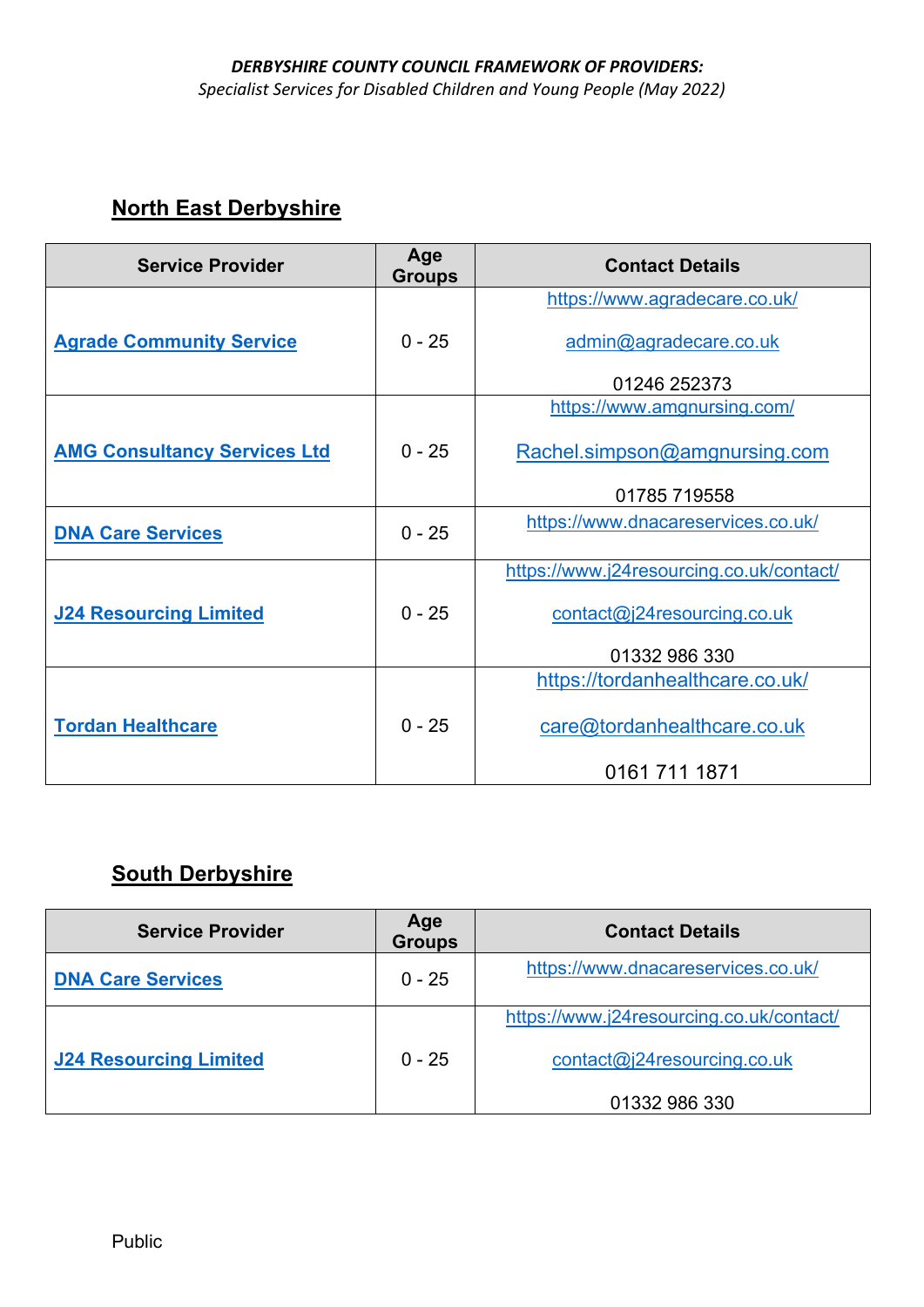#### *DERBYSHIRE COUNTY COUNCIL FRAMEWORK OF PROVIDERS: Specialist Services for Disabled Children and Young People (May 2022)*

# **North East Derbyshire**

| <b>Service Provider</b>             | Age<br><b>Groups</b> | <b>Contact Details</b>                   |
|-------------------------------------|----------------------|------------------------------------------|
|                                     |                      | https://www.agradecare.co.uk/            |
| <b>Agrade Community Service</b>     | $0 - 25$             | admin@agradecare.co.uk                   |
|                                     |                      | 01246 252373                             |
|                                     |                      | https://www.amgnursing.com/              |
| <b>AMG Consultancy Services Ltd</b> | $0 - 25$             | Rachel.simpson@amgnursing.com            |
|                                     |                      | 01785 719558                             |
| <b>DNA Care Services</b>            | $0 - 25$             | https://www.dnacareservices.co.uk/       |
|                                     |                      | https://www.j24resourcing.co.uk/contact/ |
| <b>J24 Resourcing Limited</b>       | $0 - 25$             | contact@j24resourcing.co.uk              |
|                                     |                      | 01332 986 330                            |
|                                     |                      | https://tordanhealthcare.co.uk/          |
| <b>Tordan Healthcare</b>            | $0 - 25$             | care@tordanhealthcare.co.uk              |
|                                     |                      | 0161 711 1871                            |

| <b>Service Provider</b>       | Age<br><b>Groups</b> | <b>Contact Details</b>                   |
|-------------------------------|----------------------|------------------------------------------|
| <b>DNA Care Services</b>      | $0 - 25$             | https://www.dnacareservices.co.uk/       |
|                               |                      | https://www.j24resourcing.co.uk/contact/ |
| <b>J24 Resourcing Limited</b> | $0 - 25$             | contact@j24resourcing.co.uk              |
|                               |                      | 01332 986 330                            |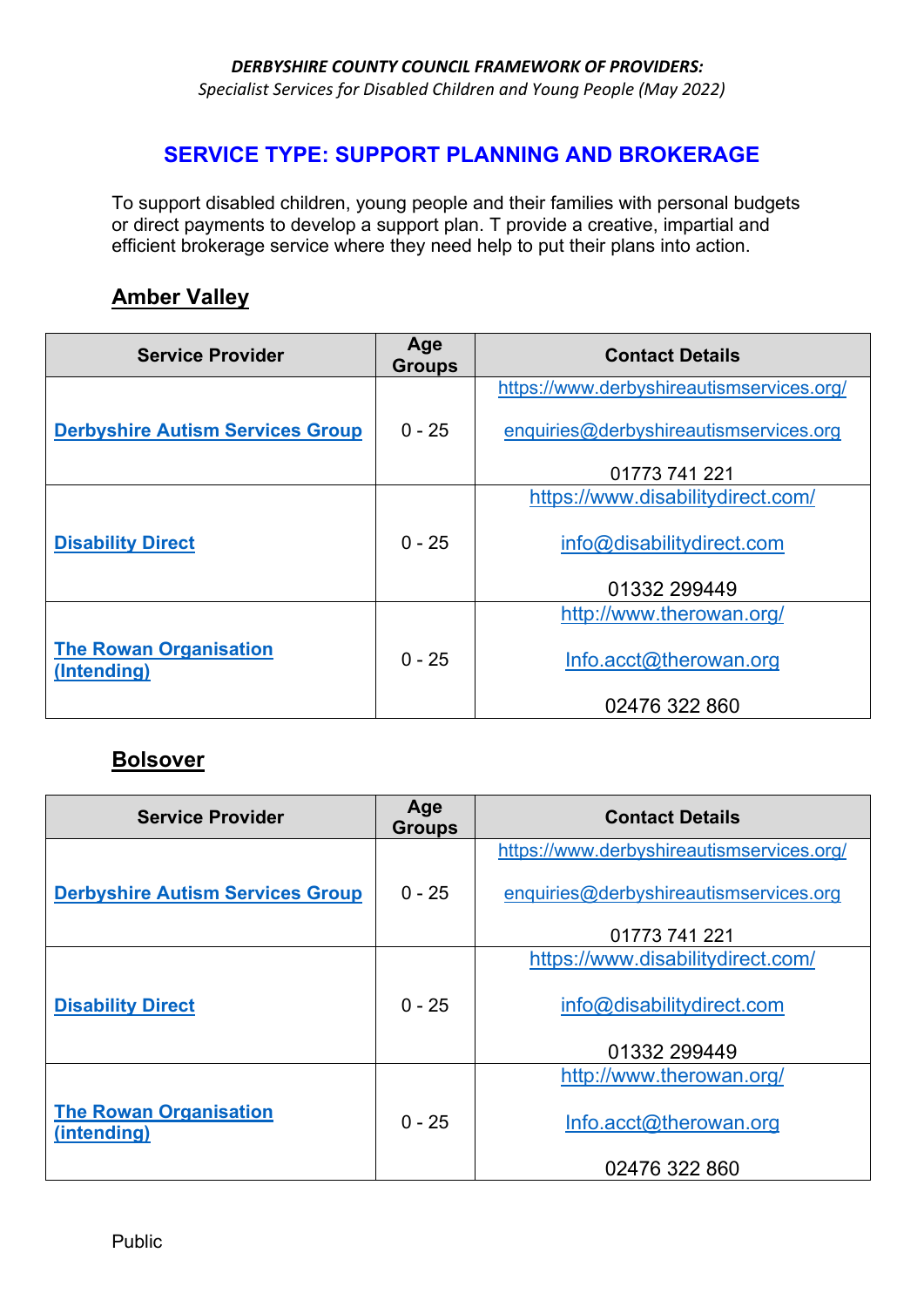*Specialist Services for Disabled Children and Young People (May 2022)* 

#### **SERVICE TYPE: SUPPORT PLANNING AND BROKERAGE**

To support disabled children, young people and their families with personal budgets or direct payments to develop a support plan. T provide a creative, impartial and efficient brokerage service where they need help to put their plans into action.

#### **Amber Valley**

| <b>Service Provider</b>                      | Age<br><b>Groups</b> | <b>Contact Details</b>                    |
|----------------------------------------------|----------------------|-------------------------------------------|
|                                              |                      | https://www.derbyshireautismservices.org/ |
| <b>Derbyshire Autism Services Group</b>      | $0 - 25$             | enquiries@derbyshireautismservices.org    |
|                                              |                      | 01773 741 221                             |
|                                              |                      | https://www.disabilitydirect.com/         |
| <b>Disability Direct</b>                     | $0 - 25$             | info@disabilitydirect.com                 |
|                                              |                      | 01332 299449                              |
|                                              |                      | http://www.therowan.org/                  |
| <b>The Rowan Organisation</b><br>(Intending) | $0 - 25$             | Info.acct@therowan.org                    |
|                                              |                      | 02476 322 860                             |

#### **Bolsover**

| <b>Service Provider</b>                      | Age<br><b>Groups</b> | <b>Contact Details</b>                    |
|----------------------------------------------|----------------------|-------------------------------------------|
|                                              |                      | https://www.derbyshireautismservices.org/ |
| <b>Derbyshire Autism Services Group</b>      | $0 - 25$             | enquiries@derbyshireautismservices.org    |
|                                              |                      | 01773 741 221                             |
|                                              |                      | https://www.disabilitydirect.com/         |
| <b>Disability Direct</b>                     | $0 - 25$             | info@disabilitydirect.com                 |
|                                              |                      | 01332 299449                              |
|                                              |                      | http://www.therowan.org/                  |
| <b>The Rowan Organisation</b><br>(intending) | $0 - 25$             | Info.acct@therowan.org                    |
|                                              |                      | 02476 322 860                             |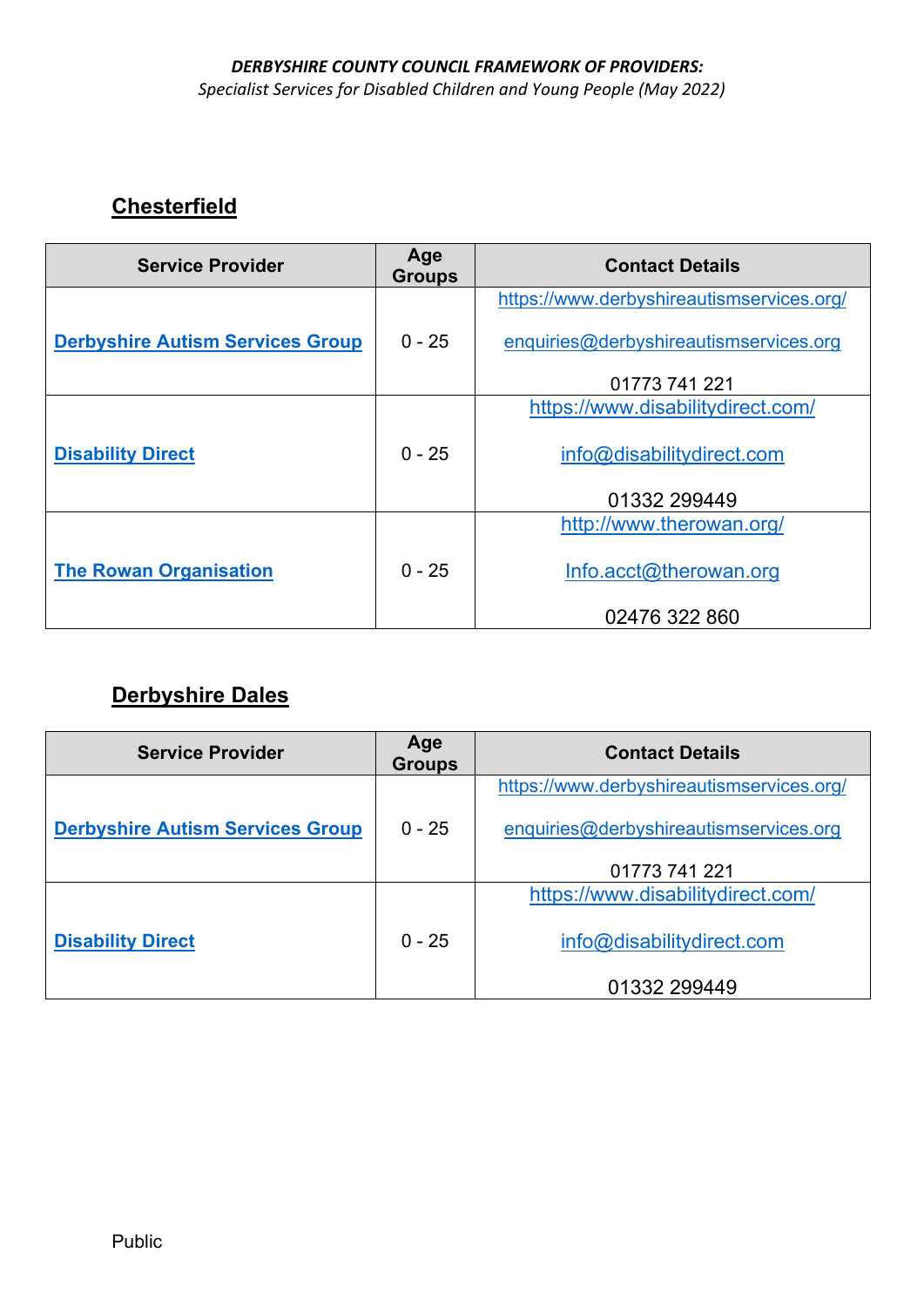*Specialist Services for Disabled Children and Young People (May 2022)* 

# **Chesterfield**

| <b>Service Provider</b>                 | Age<br><b>Groups</b> | <b>Contact Details</b>                    |
|-----------------------------------------|----------------------|-------------------------------------------|
|                                         |                      | https://www.derbyshireautismservices.org/ |
| <b>Derbyshire Autism Services Group</b> | $0 - 25$             | enquiries@derbyshireautismservices.org    |
|                                         |                      | 01773 741 221                             |
| <b>Disability Direct</b>                |                      | https://www.disabilitydirect.com/         |
|                                         | $0 - 25$             | info@disabilitydirect.com                 |
|                                         |                      | 01332 299449                              |
|                                         |                      | http://www.therowan.org/                  |
| <b>The Rowan Organisation</b>           | $0 - 25$             | Info.acct@therowan.org                    |
|                                         |                      | 02476 322 860                             |

# **Derbyshire Dales**

| <b>Service Provider</b>                 | Age<br><b>Groups</b> | <b>Contact Details</b>                    |
|-----------------------------------------|----------------------|-------------------------------------------|
|                                         |                      | https://www.derbyshireautismservices.org/ |
| <b>Derbyshire Autism Services Group</b> | $0 - 25$             | enquiries@derbyshireautismservices.org    |
|                                         |                      | 01773 741 221                             |
|                                         |                      | https://www.disabilitydirect.com/         |
| <b>Disability Direct</b>                | $0 - 25$             | info@disabilitydirect.com                 |
|                                         |                      | 01332 299449                              |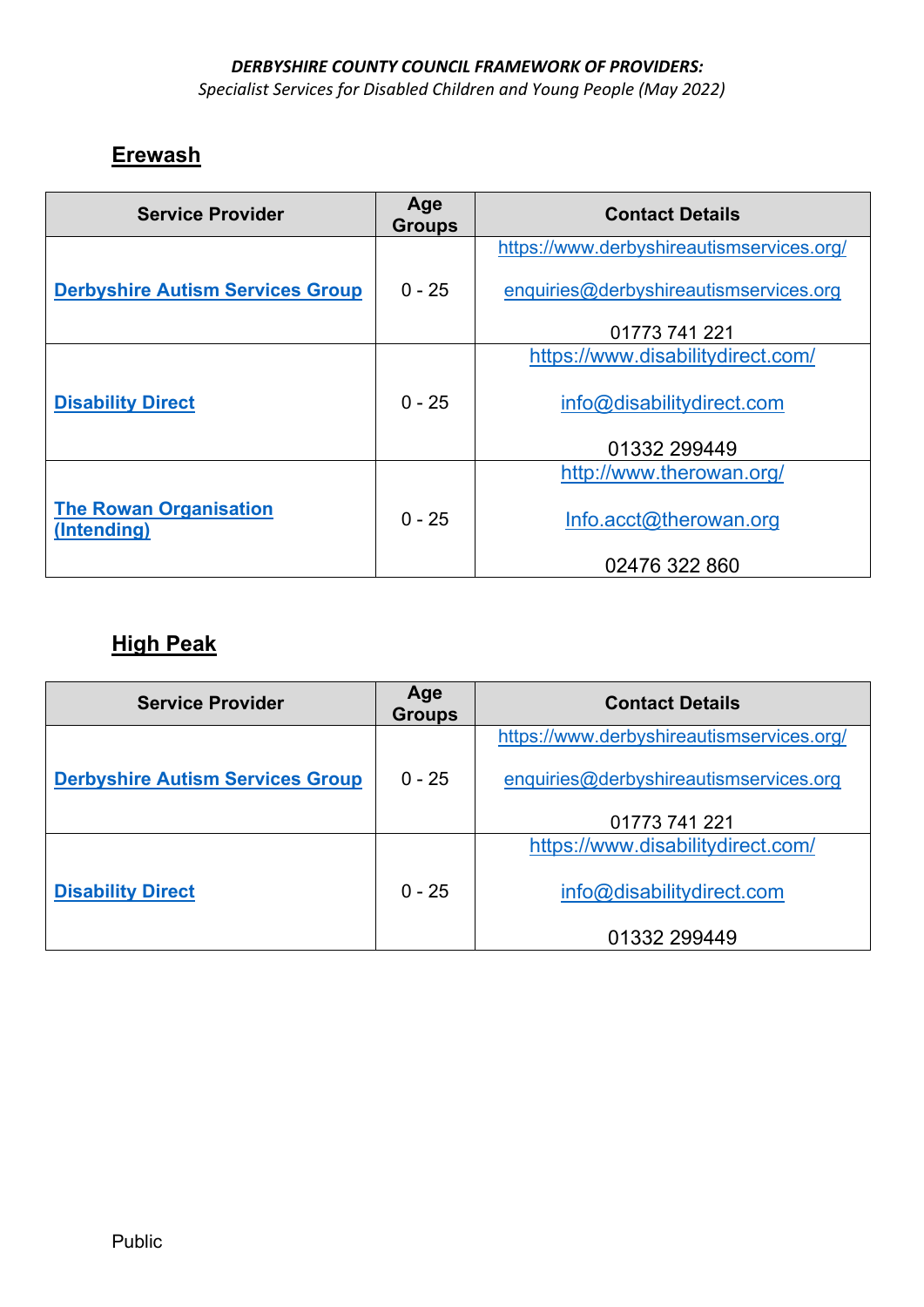*Specialist Services for Disabled Children and Young People (May 2022)* 

### **Erewash**

| <b>Service Provider</b>                      | Age<br><b>Groups</b> | <b>Contact Details</b>                    |
|----------------------------------------------|----------------------|-------------------------------------------|
|                                              |                      | https://www.derbyshireautismservices.org/ |
| <b>Derbyshire Autism Services Group</b>      | $0 - 25$             | enquiries@derbyshireautismservices.org    |
|                                              |                      | 01773 741 221                             |
|                                              |                      | https://www.disabilitydirect.com/         |
| <b>Disability Direct</b>                     | $0 - 25$             | info@disabilitydirect.com                 |
|                                              |                      | 01332 299449                              |
|                                              |                      | http://www.therowan.org/                  |
| <b>The Rowan Organisation</b><br>(Intending) | $0 - 25$             | Info.acct@therowan.org                    |
|                                              |                      | 02476 322 860                             |

# **High Peak**

| <b>Service Provider</b>                 | Age<br><b>Groups</b> | <b>Contact Details</b>                    |
|-----------------------------------------|----------------------|-------------------------------------------|
|                                         |                      | https://www.derbyshireautismservices.org/ |
| <b>Derbyshire Autism Services Group</b> | $0 - 25$             | enquiries@derbyshireautismservices.org    |
|                                         |                      | 01773 741 221                             |
|                                         |                      | https://www.disabilitydirect.com/         |
| <b>Disability Direct</b>                | $0 - 25$             | info@disabilitydirect.com                 |
|                                         |                      | 01332 299449                              |